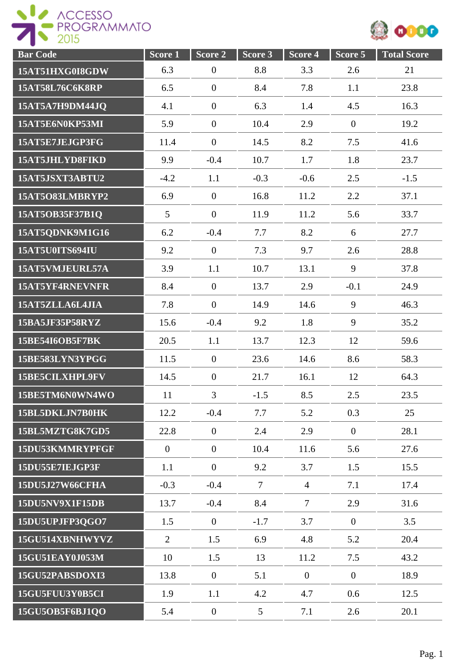

| <b>Bar Code</b> | Score <sub>1</sub> | $\overline{\text{Score}}$ 2 | Score 3        | Score 4        | Score 5          | <b>Total Score</b> |
|-----------------|--------------------|-----------------------------|----------------|----------------|------------------|--------------------|
| 15AT51HXG0I8GDW | 6.3                | $\boldsymbol{0}$            | 8.8            | 3.3            | 2.6              | 21                 |
| 15AT58L76C6K8RP | 6.5                | $\boldsymbol{0}$            | 8.4            | 7.8            | 1.1              | 23.8               |
| 15AT5A7H9DM44JQ | 4.1                | $\boldsymbol{0}$            | 6.3            | 1.4            | 4.5              | 16.3               |
| 15AT5E6N0KP53MI | 5.9                | $\boldsymbol{0}$            | 10.4           | 2.9            | $\boldsymbol{0}$ | 19.2               |
| 15AT5E7JEJGP3FG | 11.4               | $\boldsymbol{0}$            | 14.5           | 8.2            | 7.5              | 41.6               |
| 15AT5JHLYD8FIKD | 9.9                | $-0.4$                      | 10.7           | 1.7            | 1.8              | 23.7               |
| 15AT5JSXT3ABTU2 | $-4.2$             | 1.1                         | $-0.3$         | $-0.6$         | 2.5              | $-1.5$             |
| 15AT5O83LMBRYP2 | 6.9                | $\overline{0}$              | 16.8           | 11.2           | 2.2              | 37.1               |
| 15AT5OB35F37B1Q | 5                  | $\mathbf{0}$                | 11.9           | 11.2           | 5.6              | 33.7               |
| 15AT5QDNK9M1G16 | 6.2                | $-0.4$                      | 7.7            | 8.2            | 6                | 27.7               |
| 15AT5U0ITS694IU | 9.2                | $\overline{0}$              | 7.3            | 9.7            | 2.6              | 28.8               |
| 15AT5VMJEURL57A | 3.9                | 1.1                         | 10.7           | 13.1           | 9                | 37.8               |
| 15AT5YF4RNEVNFR | 8.4                | $\boldsymbol{0}$            | 13.7           | 2.9            | $-0.1$           | 24.9               |
| 15AT5ZLLA6L4JIA | 7.8                | $\boldsymbol{0}$            | 14.9           | 14.6           | 9                | 46.3               |
| 15BA5JF35P58RYZ | 15.6               | $-0.4$                      | 9.2            | 1.8            | 9                | 35.2               |
| 15BE54I6OB5F7BK | 20.5               | 1.1                         | 13.7           | 12.3           | 12               | 59.6               |
| 15BE583LYN3YPGG | 11.5               | $\boldsymbol{0}$            | 23.6           | 14.6           | 8.6              | 58.3               |
| 15BE5CILXHPL9FV | 14.5               | $\overline{0}$              | 21.7           | 16.1           | 12               | 64.3               |
| 15BE5TM6N0WN4WO | 11                 | $\overline{3}$              | $-1.5$         | 8.5            | 2.5              | 23.5               |
| 15BL5DKLJN7B0HK | 12.2               | $-0.4$                      | 7.7            | 5.2            | 0.3              | 25                 |
| 15BL5MZTG8K7GD5 | 22.8               | $\boldsymbol{0}$            | 2.4            | 2.9            | $\overline{0}$   | 28.1               |
| 15DU53KMMRYPFGF | $\overline{0}$     | $\mathbf{0}$                | 10.4           | 11.6           | 5.6              | 27.6               |
| 15DU55E7IEJGP3F | 1.1                | $\overline{0}$              | 9.2            | 3.7            | 1.5              | 15.5               |
| 15DU5J27W66CFHA | $-0.3$             | $-0.4$                      | $\overline{7}$ | $\overline{4}$ | 7.1              | 17.4               |
| 15DU5NV9X1F15DB | 13.7               | $-0.4$                      | 8.4            | $\tau$         | 2.9              | 31.6               |
| 15DU5UPJFP3QGO7 | 1.5                | $\mathbf{0}$                | $-1.7$         | 3.7            | $\overline{0}$   | 3.5                |
| 15GU514XBNHWYVZ | $\overline{2}$     | 1.5                         | 6.9            | 4.8            | 5.2              | 20.4               |
| 15GU51EAY0J053M | 10                 | 1.5                         | 13             | 11.2           | 7.5              | 43.2               |
| 15GU52PABSDOXI3 | 13.8               | $\overline{0}$              | 5.1            | $\overline{0}$ | $\boldsymbol{0}$ | 18.9               |
| 15GU5FUU3Y0B5CI | 1.9                | 1.1                         | 4.2            | 4.7            | 0.6              | 12.5               |
| 15GU5OB5F6BJ1QO | 5.4                | $\boldsymbol{0}$            | $\mathfrak{S}$ | 7.1            | 2.6              | 20.1               |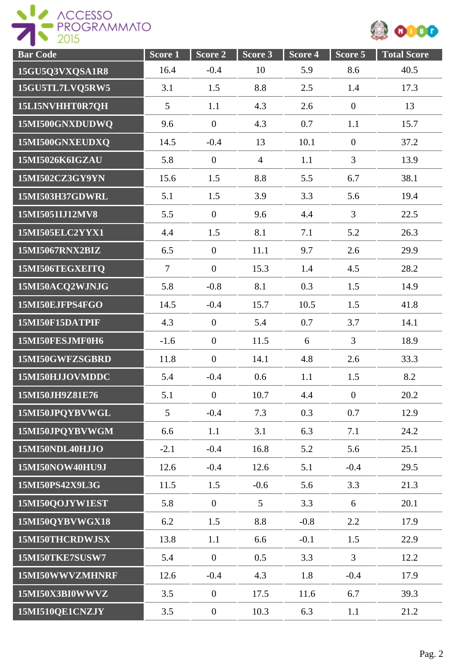

| <b>Bar Code</b> | Score 1        | Score 2          | Score 3        | Score <sub>4</sub> | Score 5          | <b>Total Score</b> |
|-----------------|----------------|------------------|----------------|--------------------|------------------|--------------------|
| 15GU5Q3VXQSA1R8 | 16.4           | $-0.4$           | 10             | 5.9                | 8.6              | 40.5               |
| 15GU5TL7LVQ5RW5 | 3.1            | 1.5              | 8.8            | 2.5                | 1.4              | 17.3               |
| 15LI5NVHHT0R7QH | 5              | 1.1              | 4.3            | 2.6                | $\boldsymbol{0}$ | 13                 |
| 15MI500GNXDUDWQ | 9.6            | $\overline{0}$   | 4.3            | 0.7                | 1.1              | 15.7               |
| 15MI500GNXEUDXQ | 14.5           | $-0.4$           | 13             | 10.1               | $\boldsymbol{0}$ | 37.2               |
| 15MI5026K6IGZAU | 5.8            | $\overline{0}$   | $\overline{4}$ | 1.1                | $\overline{3}$   | 13.9               |
| 15MI502CZ3GY9YN | 15.6           | 1.5              | 8.8            | 5.5                | 6.7              | 38.1               |
| 15MI503H37GDWRL | 5.1            | 1.5              | 3.9            | 3.3                | 5.6              | 19.4               |
| 15MI5051IJ12MV8 | 5.5            | $\mathbf{0}$     | 9.6            | 4.4                | $\overline{3}$   | 22.5               |
| 15MI505ELC2YYX1 | 4.4            | 1.5              | 8.1            | 7.1                | 5.2              | 26.3               |
| 15MI5067RNX2BIZ | 6.5            | $\mathbf{0}$     | 11.1           | 9.7                | 2.6              | 29.9               |
| 15MI506TEGXEITO | $\overline{7}$ | $\mathbf{0}$     | 15.3           | 1.4                | 4.5              | 28.2               |
| 15MI50ACQ2WJNJG | 5.8            | $-0.8$           | 8.1            | 0.3                | 1.5              | 14.9               |
| 15MI50EJFPS4FGO | 14.5           | $-0.4$           | 15.7           | 10.5               | 1.5              | 41.8               |
| 15MI50F15DATPIF | 4.3            | $\mathbf{0}$     | 5.4            | 0.7                | 3.7              | 14.1               |
| 15MI50FESJMF0H6 | $-1.6$         | $\overline{0}$   | 11.5           | 6                  | $\overline{3}$   | 18.9               |
| 15MI50GWFZSGBRD | 11.8           | $\overline{0}$   | 14.1           | 4.8                | 2.6              | 33.3               |
| 15MI50HJJOVMDDC | 5.4            | $-0.4$           | 0.6            | 1.1                | 1.5              | 8.2                |
| 15MI50JH9Z81E76 | 5.1            | $\overline{0}$   | 10.7           | 4.4                | $\boldsymbol{0}$ | 20.2               |
| 15MI50JPQYBVWGL | 5              | $-0.4$           | 7.3            | 0.3                | 0.7              | 12.9               |
| 15MI50JPQYBVWGM | 6.6            | 1.1              | 3.1            | 6.3                | 7.1              | 24.2               |
| 15MI50NDL40HJJO | $-2.1$         | $-0.4$           | 16.8           | 5.2                | 5.6              | 25.1               |
| 15MI50NOW40HU9J | 12.6           | $-0.4$           | 12.6           | 5.1                | $-0.4$           | 29.5               |
| 15MI50PS42X9L3G | 11.5           | 1.5              | $-0.6$         | 5.6                | 3.3              | 21.3               |
| 15MI50QOJYW1EST | 5.8            | $\mathbf{0}$     | 5 <sup>5</sup> | 3.3                | 6                | 20.1               |
| 15MI50QYBVWGX18 | 6.2            | 1.5              | 8.8            | $-0.8$             | 2.2              | 17.9               |
| 15MI50THCRDWJSX | 13.8           | 1.1              | 6.6            | $-0.1$             | 1.5              | 22.9               |
| 15MI50TKE7SUSW7 | 5.4            | $\mathbf{0}$     | 0.5            | 3.3                | $\overline{3}$   | 12.2               |
| 15MI50WWVZMHNRF | 12.6           | $-0.4$           | 4.3            | 1.8                | $-0.4$           | 17.9               |
| 15MI50X3BI0WWVZ | 3.5            | $\mathbf{0}$     | 17.5           | 11.6               | 6.7              | 39.3               |
| 15MI510QE1CNZJY | 3.5            | $\boldsymbol{0}$ | 10.3           | 6.3                | 1.1              | 21.2               |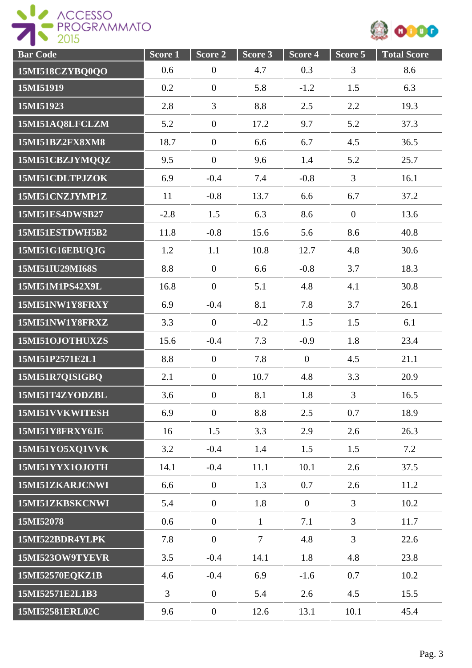



| <b>Bar Code</b>        | Score <sub>1</sub> | Score <sub>2</sub> | Score 3      | Score 4        | Score 5        | <b>Total Score</b> |
|------------------------|--------------------|--------------------|--------------|----------------|----------------|--------------------|
| 15MI518CZYBQ0QO        | 0.6                | $\overline{0}$     | 4.7          | 0.3            | 3              | 8.6                |
| 15MI51919              | 0.2                | $\boldsymbol{0}$   | 5.8          | $-1.2$         | 1.5            | 6.3                |
| 15MI51923              | 2.8                | $\overline{3}$     | 8.8          | 2.5            | 2.2            | 19.3               |
| 15MI51AQ8LFCLZM        | 5.2                | $\boldsymbol{0}$   | 17.2         | 9.7            | 5.2            | 37.3               |
| <b>15MI51BZ2FX8XM8</b> | 18.7               | $\overline{0}$     | 6.6          | 6.7            | 4.5            | 36.5               |
| 15MI51CBZJYMQQZ        | 9.5                | $\overline{0}$     | 9.6          | 1.4            | 5.2            | 25.7               |
| 15MI51CDLTPJZOK        | 6.9                | $-0.4$             | 7.4          | $-0.8$         | $\overline{3}$ | 16.1               |
| 15MI51CNZJYMP1Z        | 11                 | $-0.8$             | 13.7         | 6.6            | 6.7            | 37.2               |
| 15MI51ES4DWSB27        | $-2.8$             | 1.5                | 6.3          | 8.6            | $\overline{0}$ | 13.6               |
| 15MI51ESTDWH5B2        | 11.8               | $-0.8$             | 15.6         | 5.6            | 8.6            | 40.8               |
| 15MI51G16EBUQJG        | 1.2                | 1.1                | 10.8         | 12.7           | 4.8            | 30.6               |
| 15MI51IU29MI68S        | 8.8                | $\mathbf{0}$       | 6.6          | $-0.8$         | 3.7            | 18.3               |
| 15MI51M1PS42X9L        | 16.8               | $\overline{0}$     | 5.1          | 4.8            | 4.1            | 30.8               |
| 15MI51NW1Y8FRXY        | 6.9                | $-0.4$             | 8.1          | 7.8            | 3.7            | 26.1               |
| 15MI51NW1Y8FRXZ        | 3.3                | $\overline{0}$     | $-0.2$       | 1.5            | 1.5            | 6.1                |
| 15MI51OJOTHUXZS        | 15.6               | $-0.4$             | 7.3          | $-0.9$         | 1.8            | 23.4               |
| 15MI51P2571E2L1        | 8.8                | $\overline{0}$     | 7.8          | $\overline{0}$ | 4.5            | 21.1               |
| 15MI51R7QISIGBQ        | 2.1                | $\overline{0}$     | 10.7         | 4.8            | 3.3            | 20.9               |
| 15MI51T4ZYODZBL        | 3.6                | $\boldsymbol{0}$   | 8.1          | 1.8            | 3              | 16.5               |
| 15MI51VVKWITESH        | 6.9                | $\overline{0}$     | 8.8          | 2.5            | 0.7            | 18.9               |
| 15MI51Y8FRXY6JE        | 16                 | 1.5                | 3.3          | 2.9            | 2.6            | 26.3               |
| 15MI51YO5XQ1VVK        | 3.2                | $-0.4$             | 1.4          | 1.5            | 1.5            | 7.2                |
| 15MI51YYX1OJOTH        | 14.1               | $-0.4$             | 11.1         | 10.1           | 2.6            | 37.5               |
| 15MI51ZKARJCNWI        | 6.6                | $\overline{0}$     | 1.3          | 0.7            | 2.6            | 11.2               |
| 15MI51ZKBSKCNWI        | 5.4                | $\overline{0}$     | 1.8          | $\overline{0}$ | $\overline{3}$ | 10.2               |
| 15MI52078              | 0.6                | $\overline{0}$     | $\mathbf{1}$ | 7.1            | $\mathfrak{Z}$ | 11.7               |
| 15MI522BDR4YLPK        | 7.8                | $\mathbf{0}$       | $\tau$       | 4.8            | $\overline{3}$ | 22.6               |
| 15MI523OW9TYEVR        | 3.5                | $-0.4$             | 14.1         | 1.8            | 4.8            | 23.8               |
| 15MI52570EQKZ1B        | 4.6                | $-0.4$             | 6.9          | $-1.6$         | 0.7            | 10.2               |
| 15MI52571E2L1B3        | $\overline{3}$     | $\overline{0}$     | 5.4          | 2.6            | 4.5            | 15.5               |
| 15MI52581ERL02C        | 9.6                | $\overline{0}$     | 12.6         | 13.1           | 10.1           | 45.4               |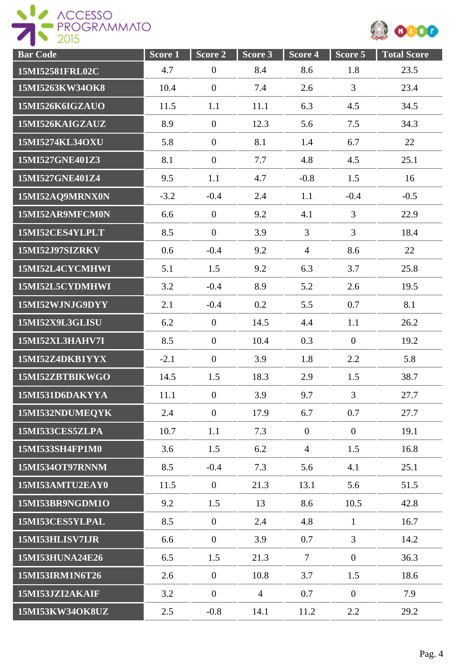

| <b>Bar Code</b>        | Score 1 | Score 2          | Score 3        | Score 4        | Score 5        | <b>Total Score</b> |
|------------------------|---------|------------------|----------------|----------------|----------------|--------------------|
| 15MI52581FRL02C        | 4.7     | $\boldsymbol{0}$ | 8.4            | 8.6            | 1.8            | 23.5               |
| 15MI5263KW34OK8        | 10.4    | $\boldsymbol{0}$ | 7.4            | 2.6            | 3              | 23.4               |
| 15MI526K6IGZAUO        | 11.5    | 1.1              | 11.1           | 6.3            | 4.5            | 34.5               |
| 15MI526KAIGZAUZ        | 8.9     | $\overline{0}$   | 12.3           | 5.6            | 7.5            | 34.3               |
| 15MI5274KL34OXU        | 5.8     | $\overline{0}$   | 8.1            | 1.4            | 6.7            | 22                 |
| 15MI527GNE401Z3        | 8.1     | $\boldsymbol{0}$ | 7.7            | 4.8            | 4.5            | 25.1               |
| 15MI527GNE401Z4        | 9.5     | 1.1              | 4.7            | $-0.8$         | 1.5            | 16                 |
| 15MI52AQ9MRNX0N        | $-3.2$  | $-0.4$           | 2.4            | 1.1            | $-0.4$         | $-0.5$             |
| 15MI52AR9MFCM0N        | 6.6     | $\boldsymbol{0}$ | 9.2            | 4.1            | $\overline{3}$ | 22.9               |
| 15MI52CES4YLPLT        | 8.5     | $\overline{0}$   | 3.9            | $\overline{3}$ | $\overline{3}$ | 18.4               |
| <b>15MI52J97SIZRKV</b> | 0.6     | $-0.4$           | 9.2            | $\overline{4}$ | 8.6            | 22                 |
| 15MI52L4CYCMHWI        | 5.1     | 1.5              | 9.2            | 6.3            | 3.7            | 25.8               |
| 15MI52L5CYDMHWI        | 3.2     | $-0.4$           | 8.9            | 5.2            | 2.6            | 19.5               |
| 15MI52WJNJG9DYY        | 2.1     | $-0.4$           | 0.2            | 5.5            | 0.7            | 8.1                |
| 15MI52X9L3GLISU        | 6.2     | $\boldsymbol{0}$ | 14.5           | 4.4            | 1.1            | 26.2               |
| 15MI52XL3HAHV7I        | 8.5     | $\overline{0}$   | 10.4           | 0.3            | $\overline{0}$ | 19.2               |
| 15MI52Z4DKB1YYX        | $-2.1$  | $\overline{0}$   | 3.9            | 1.8            | 2.2            | 5.8                |
| 15MI52ZBTBIKWGO        | 14.5    | 1.5              | 18.3           | 2.9            | 1.5            | 38.7               |
| 15MI531D6DAKYYA        | 11.1    | $\boldsymbol{0}$ | 3.9            | 9.7            | 3              | 27.7               |
| 15MI532NDUMEQYK        | 2.4     | $\overline{0}$   | 17.9           | 6.7            | 0.7            | 27.7               |
| 15MI533CES5ZLPA        | 10.7    | 1.1              | 7.3            | $\overline{0}$ | $\overline{0}$ | 19.1               |
| 15MI533SH4FP1M0        | 3.6     | 1.5              | 6.2            | $\overline{4}$ | 1.5            | 16.8               |
| 15MI534OT97RNNM        | 8.5     | $-0.4$           | 7.3            | 5.6            | 4.1            | 25.1               |
| 15MI53AMTU2EAY0        | 11.5    | $\mathbf{0}$     | 21.3           | 13.1           | 5.6            | 51.5               |
| 15MI53BR9NGDM1O        | 9.2     | 1.5              | 13             | 8.6            | 10.5           | 42.8               |
| 15MI53CES5YLPAL        | 8.5     | $\mathbf{0}$     | 2.4            | 4.8            | $\mathbf{1}$   | 16.7               |
| 15MI53HLISV7IJR        | 6.6     | $\overline{0}$   | 3.9            | 0.7            | $\overline{3}$ | 14.2               |
| 15MI53HUNA24E26        | 6.5     | 1.5              | 21.3           | $\tau$         | $\overline{0}$ | 36.3               |
| 15MI53IRM1N6T26        | 2.6     | $\overline{0}$   | 10.8           | 3.7            | 1.5            | 18.6               |
| 15MI53JZI2AKAIF        | 3.2     | $\boldsymbol{0}$ | $\overline{4}$ | 0.7            | $\overline{0}$ | 7.9                |
| 15MI53KW34OK8UZ        | 2.5     | $-0.8$           | 14.1           | 11.2           | 2.2            | 29.2               |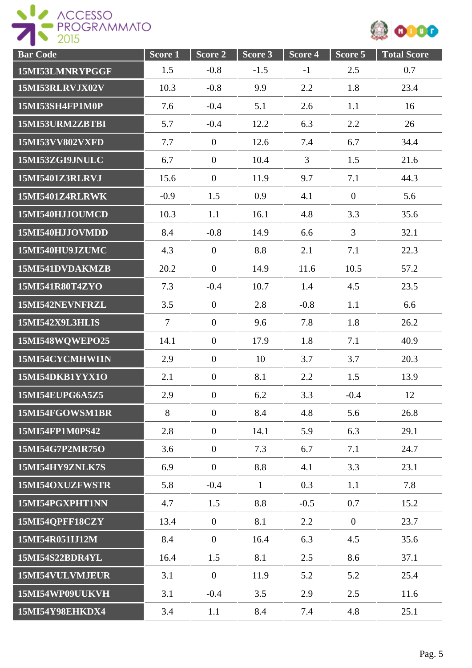

| <b>Bar Code</b>        | Score <sub>1</sub> | Score <sub>2</sub> | Score <sub>3</sub> | Score <sub>4</sub> | Score 5        | <b>Total Score</b> |
|------------------------|--------------------|--------------------|--------------------|--------------------|----------------|--------------------|
| 15MI53LMNRYPGGF        | 1.5                | $-0.8$             | $-1.5$             | $-1$               | 2.5            | 0.7                |
| 15MI53RLRVJX02V        | 10.3               | $-0.8$             | 9.9                | 2.2                | 1.8            | 23.4               |
| 15MI53SH4FP1M0P        | 7.6                | $-0.4$             | 5.1                | 2.6                | 1.1            | 16                 |
| 15MI53URM2ZBTBI        | 5.7                | $-0.4$             | 12.2               | 6.3                | 2.2            | 26                 |
| 15MI53VV802VXFD        | 7.7                | $\overline{0}$     | 12.6               | 7.4                | 6.7            | 34.4               |
| 15MI53ZGI9JNULC        | 6.7                | $\boldsymbol{0}$   | 10.4               | $\overline{3}$     | 1.5            | 21.6               |
| 15MI5401Z3RLRVJ        | 15.6               | $\mathbf{0}$       | 11.9               | 9.7                | 7.1            | 44.3               |
| <b>15MI5401Z4RLRWK</b> | $-0.9$             | 1.5                | 0.9                | 4.1                | $\overline{0}$ | 5.6                |
| 15MI540HJJOUMCD        | 10.3               | 1.1                | 16.1               | 4.8                | 3.3            | 35.6               |
| 15MI540HJJOVMDD        | 8.4                | $-0.8$             | 14.9               | 6.6                | 3              | 32.1               |
| 15MI540HU9JZUMC        | 4.3                | $\mathbf{0}$       | 8.8                | 2.1                | 7.1            | 22.3               |
| 15MI541DVDAKMZB        | 20.2               | $\overline{0}$     | 14.9               | 11.6               | 10.5           | 57.2               |
| 15MI541R80T4ZYO        | 7.3                | $-0.4$             | 10.7               | 1.4                | 4.5            | 23.5               |
| 15MI542NEVNFRZL        | 3.5                | $\overline{0}$     | 2.8                | $-0.8$             | 1.1            | 6.6                |
| <b>15MI542X9L3HLIS</b> | $\overline{7}$     | $\boldsymbol{0}$   | 9.6                | 7.8                | 1.8            | 26.2               |
| 15MI548WQWEPO25        | 14.1               | $\overline{0}$     | 17.9               | 1.8                | 7.1            | 40.9               |
| 15MI54CYCMHWI1N        | 2.9                | $\theta$           | 10                 | 3.7                | 3.7            | 20.3               |
| 15MI54DKB1YYX1O        | 2.1                | $\overline{0}$     | 8.1                | 2.2                | 1.5            | 13.9               |
| 15MI54EUPG6A5Z5        | 2.9                | $\overline{0}$     | 6.2                | 3.3                | $-0.4$         | 12                 |
| 15MI54FGOWSM1BR        | 8                  | $\overline{0}$     | 8.4                | 4.8                | 5.6            | 26.8               |
| 15MI54FP1M0PS42        | 2.8                | $\overline{0}$     | 14.1               | 5.9                | 6.3            | 29.1               |
| 15MI54G7P2MR75O        | 3.6                | $\overline{0}$     | 7.3                | 6.7                | 7.1            | 24.7               |
| 15MI54HY9ZNLK7S        | 6.9                | $\overline{0}$     | 8.8                | 4.1                | 3.3            | 23.1               |
| 15MI54OXUZFWSTR        | 5.8                | $-0.4$             | $\mathbf{1}$       | 0.3                | 1.1            | 7.8                |
| 15MI54PGXPHT1NN        | 4.7                | 1.5                | 8.8                | $-0.5$             | 0.7            | 15.2               |
| 15MI54QPFF18CZY        | 13.4               | $\overline{0}$     | 8.1                | 2.2                | $\overline{0}$ | 23.7               |
| 15MI54R051IJ12M        | 8.4                | $\boldsymbol{0}$   | 16.4               | 6.3                | 4.5            | 35.6               |
| 15MI54S22BDR4YL        | 16.4               | 1.5                | 8.1                | 2.5                | 8.6            | 37.1               |
| 15MI54VULVMJEUR        | 3.1                | $\overline{0}$     | 11.9               | 5.2                | 5.2            | 25.4               |
| 15MI54WP09UUKVH        | 3.1                | $-0.4$             | 3.5                | 2.9                | 2.5            | 11.6               |
| 15MI54Y98EHKDX4        | 3.4                | 1.1                | 8.4                | 7.4                | 4.8            | 25.1               |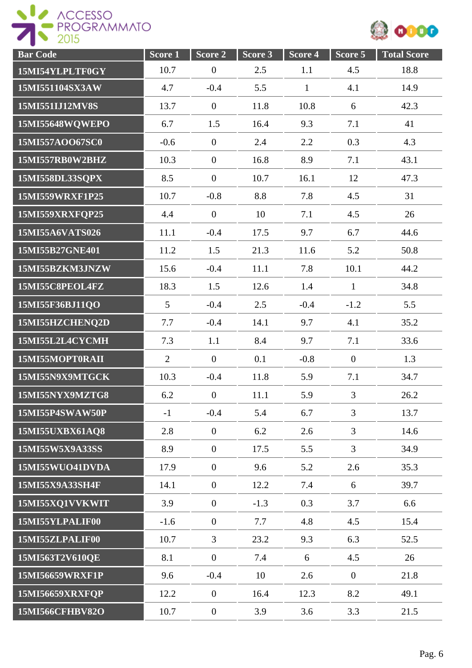



| <b>Bar Code</b>        | Score 1         | Score 2          | Score 3 | Score 4      | Score 5        | <b>Total Score</b> |
|------------------------|-----------------|------------------|---------|--------------|----------------|--------------------|
| 15MI54YLPLTF0GY        | 10.7            | $\boldsymbol{0}$ | 2.5     | 1.1          | 4.5            | 18.8               |
| 15MI551104SX3AW        | 4.7             | $-0.4$           | 5.5     | $\mathbf{1}$ | 4.1            | 14.9               |
| 15MI551IJ12MV8S        | 13.7            | $\mathbf{0}$     | 11.8    | 10.8         | 6              | 42.3               |
| 15MI55648WQWEPO        | 6.7             | 1.5              | 16.4    | 9.3          | 7.1            | 41                 |
| 15MI557AOO67SC0        | $-0.6$          | $\boldsymbol{0}$ | 2.4     | 2.2          | 0.3            | 4.3                |
| 15MI557RB0W2BHZ        | 10.3            | $\overline{0}$   | 16.8    | 8.9          | 7.1            | 43.1               |
| 15MI558DL33SQPX        | 8.5             | $\overline{0}$   | 10.7    | 16.1         | 12             | 47.3               |
| 15MI559WRXF1P25        | 10.7            | $-0.8$           | 8.8     | 7.8          | 4.5            | 31                 |
| 15MI559XRXFQP25        | 4.4             | $\overline{0}$   | 10      | 7.1          | 4.5            | 26                 |
| 15MI55A6VATS026        | 11.1            | $-0.4$           | 17.5    | 9.7          | 6.7            | 44.6               |
| 15MI55B27GNE401        | 11.2            | 1.5              | 21.3    | 11.6         | 5.2            | 50.8               |
| 15MI55BZKM3JNZW        | 15.6            | $-0.4$           | 11.1    | 7.8          | 10.1           | 44.2               |
| 15MI55C8PEOL4FZ        | 18.3            | 1.5              | 12.6    | 1.4          | $\mathbf{1}$   | 34.8               |
| 15MI55F36BJ11QO        | $5\overline{)}$ | $-0.4$           | 2.5     | $-0.4$       | $-1.2$         | 5.5                |
| 15MI55HZCHENQ2D        | 7.7             | $-0.4$           | 14.1    | 9.7          | 4.1            | 35.2               |
| 15MI55L2L4CYCMH        | 7.3             | 1.1              | 8.4     | 9.7          | 7.1            | 33.6               |
| 15MI55MOPT0RAII        | $\overline{2}$  | $\overline{0}$   | 0.1     | $-0.8$       | $\overline{0}$ | 1.3                |
| 15MI55N9X9MTGCK        | 10.3            | $-0.4$           | 11.8    | 5.9          | 7.1            | 34.7               |
| 15MI55NYX9MZTG8        | 6.2             | $\boldsymbol{0}$ | 11.1    | 5.9          | $\overline{3}$ | 26.2               |
| 15MI55P4SWAW50P        | $-1$            | $-0.4$           | 5.4     | 6.7          | $\overline{3}$ | 13.7               |
| 15MI55UXBX61AQ8        | 2.8             | $\overline{0}$   | 6.2     | 2.6          | $\overline{3}$ | 14.6               |
| 15MI55W5X9A33SS        | 8.9             | $\overline{0}$   | 17.5    | 5.5          | $\overline{3}$ | 34.9               |
| 15MI55WUO41DVDA        | 17.9            | $\overline{0}$   | 9.6     | 5.2          | 2.6            | 35.3               |
| 15MI55X9A33SH4F        | 14.1            | $\overline{0}$   | 12.2    | 7.4          | 6              | 39.7               |
| 15MI55XQ1VVKWIT        | 3.9             | $\overline{0}$   | $-1.3$  | 0.3          | 3.7            | 6.6                |
| 15MI55YLPALIF00        | $-1.6$          | $\overline{0}$   | 7.7     | 4.8          | 4.5            | 15.4               |
| 15MI55ZLPALIF00        | 10.7            | $\overline{3}$   | 23.2    | 9.3          | 6.3            | 52.5               |
| 15MI563T2V610QE        | 8.1             | $\overline{0}$   | 7.4     | 6            | 4.5            | 26                 |
| 15MI56659WRXF1P        | 9.6             | $-0.4$           | 10      | 2.6          | $\overline{0}$ | 21.8               |
| 15MI56659XRXFQP        | 12.2            | $\overline{0}$   | 16.4    | 12.3         | 8.2            | 49.1               |
| <b>15MI566CFHBV82O</b> | 10.7            | $\boldsymbol{0}$ | 3.9     | 3.6          | 3.3            | 21.5               |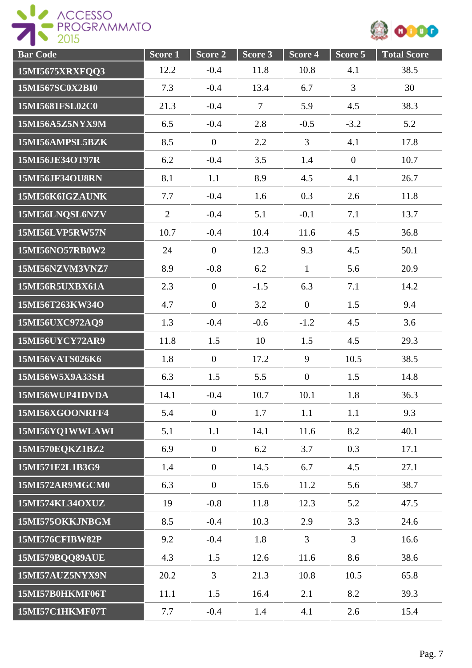



| <b>Bar Code</b>        | Score <sub>1</sub> | Score 2          | Score 3 | Score 4        | Score 5        | <b>Total Score</b> |
|------------------------|--------------------|------------------|---------|----------------|----------------|--------------------|
| 15MI5675XRXFQQ3        | 12.2               | $-0.4$           | 11.8    | 10.8           | 4.1            | 38.5               |
| 15MI567SC0X2BI0        | 7.3                | $-0.4$           | 13.4    | 6.7            | 3              | 30                 |
| 15MI5681FSL02C0        | 21.3               | $-0.4$           | $\tau$  | 5.9            | 4.5            | 38.3               |
| 15MI56A5Z5NYX9M        | 6.5                | $-0.4$           | 2.8     | $-0.5$         | $-3.2$         | 5.2                |
| 15MI56AMPSL5BZK        | 8.5                | $\overline{0}$   | 2.2     | $\overline{3}$ | 4.1            | 17.8               |
| 15MI56JE34OT97R        | 6.2                | $-0.4$           | 3.5     | 1.4            | $\overline{0}$ | 10.7               |
| <b>15MI56JF34OU8RN</b> | 8.1                | 1.1              | 8.9     | 4.5            | 4.1            | 26.7               |
| 15MI56K6IGZAUNK        | 7.7                | $-0.4$           | 1.6     | 0.3            | 2.6            | 11.8               |
| 15MI56LNQSL6NZV        | $\overline{2}$     | $-0.4$           | 5.1     | $-0.1$         | 7.1            | 13.7               |
| <b>15MI56LVP5RW57N</b> | 10.7               | $-0.4$           | 10.4    | 11.6           | 4.5            | 36.8               |
| 15MI56NO57RB0W2        | 24                 | $\overline{0}$   | 12.3    | 9.3            | 4.5            | 50.1               |
| 15MI56NZVM3VNZ7        | 8.9                | $-0.8$           | 6.2     | $\mathbf{1}$   | 5.6            | 20.9               |
| 15MI56R5UXBX61A        | 2.3                | $\overline{0}$   | $-1.5$  | 6.3            | 7.1            | 14.2               |
| 15MI56T263KW34O        | 4.7                | $\overline{0}$   | 3.2     | $\overline{0}$ | 1.5            | 9.4                |
| 15MI56UXC972AQ9        | 1.3                | $-0.4$           | $-0.6$  | $-1.2$         | 4.5            | 3.6                |
| 15MI56UYCY72AR9        | 11.8               | 1.5              | 10      | 1.5            | 4.5            | 29.3               |
| 15MI56VATS026K6        | 1.8                | $\overline{0}$   | 17.2    | 9              | 10.5           | 38.5               |
| 15MI56W5X9A33SH        | 6.3                | 1.5              | 5.5     | $\overline{0}$ | 1.5            | 14.8               |
| 15MI56WUP41DVDA        | 14.1               | $-0.4$           | 10.7    | 10.1           | 1.8            | 36.3               |
| 15MI56XGOONRFF4        | 5.4                | $\boldsymbol{0}$ | 1.7     | 1.1            | 1.1            | 9.3                |
| 15MI56YQ1WWLAWI        | 5.1                | 1.1              | 14.1    | 11.6           | 8.2            | 40.1               |
| 15MI570EQKZ1BZ2        | 6.9                | $\overline{0}$   | 6.2     | 3.7            | 0.3            | 17.1               |
| 15MI571E2L1B3G9        | 1.4                | $\boldsymbol{0}$ | 14.5    | 6.7            | 4.5            | 27.1               |
| 15MI572AR9MGCM0        | 6.3                | $\overline{0}$   | 15.6    | 11.2           | 5.6            | 38.7               |
| 15MI574KL34OXUZ        | 19                 | $-0.8$           | 11.8    | 12.3           | 5.2            | 47.5               |
| 15MI575OKKJNBGM        | 8.5                | $-0.4$           | 10.3    | 2.9            | 3.3            | 24.6               |
| 15MI576CFIBW82P        | 9.2                | $-0.4$           | 1.8     | $\overline{3}$ | $\overline{3}$ | 16.6               |
| <b>15MI579BQQ89AUE</b> | 4.3                | 1.5              | 12.6    | 11.6           | 8.6            | 38.6               |
| 15MI57AUZ5NYX9N        | 20.2               | $\overline{3}$   | 21.3    | 10.8           | 10.5           | 65.8               |
| 15MI57B0HKMF06T        | 11.1               | 1.5              | 16.4    | 2.1            | 8.2            | 39.3               |
| 15MI57C1HKMF07T        | 7.7                | $-0.4$           | 1.4     | 4.1            | 2.6            | 15.4               |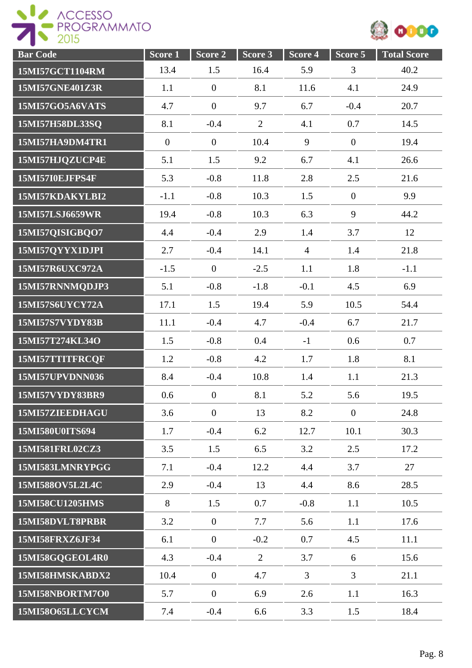

| <b>Bar Code</b> | S <sub>core</sub> 1 | Score 2          | Score <sub>3</sub> | Score 4        | Score 5        | <b>Total Score</b> |
|-----------------|---------------------|------------------|--------------------|----------------|----------------|--------------------|
| 15MI57GCT1104RM | 13.4                | 1.5              | 16.4               | 5.9            | 3              | 40.2               |
| 15MI57GNE401Z3R | 1.1                 | $\overline{0}$   | 8.1                | 11.6           | 4.1            | 24.9               |
| 15MI57GO5A6VATS | 4.7                 | $\boldsymbol{0}$ | 9.7                | 6.7            | $-0.4$         | 20.7               |
| 15MI57H58DL33SQ | 8.1                 | $-0.4$           | $\overline{2}$     | 4.1            | 0.7            | 14.5               |
| 15MI57HA9DM4TR1 | $\overline{0}$      | $\overline{0}$   | 10.4               | 9              | $\overline{0}$ | 19.4               |
| 15MI57HJQZUCP4E | 5.1                 | 1.5              | 9.2                | 6.7            | 4.1            | 26.6               |
| 15MI57I0EJFPS4F | 5.3                 | $-0.8$           | 11.8               | 2.8            | 2.5            | 21.6               |
| 15MI57KDAKYLBI2 | $-1.1$              | $-0.8$           | 10.3               | 1.5            | $\overline{0}$ | 9.9                |
| 15MI57LSJ6659WR | 19.4                | $-0.8$           | 10.3               | 6.3            | 9              | 44.2               |
| 15MI57QISIGBQO7 | 4.4                 | $-0.4$           | 2.9                | 1.4            | 3.7            | 12                 |
| 15MI57QYYX1DJPI | 2.7                 | $-0.4$           | 14.1               | $\overline{4}$ | 1.4            | 21.8               |
| 15MI57R6UXC972A | $-1.5$              | $\mathbf{0}$     | $-2.5$             | 1.1            | 1.8            | $-1.1$             |
| 15MI57RNNMQDJP3 | 5.1                 | $-0.8$           | $-1.8$             | $-0.1$         | 4.5            | 6.9                |
| 15MI57S6UYCY72A | 17.1                | 1.5              | 19.4               | 5.9            | 10.5           | 54.4               |
| 15MI57S7VYDY83B | 11.1                | $-0.4$           | 4.7                | $-0.4$         | 6.7            | 21.7               |
| 15MI57T274KL34O | 1.5                 | $-0.8$           | 0.4                | $-1$           | 0.6            | 0.7                |
| 15MI57TTITFRCQF | 1.2                 | $-0.8$           | 4.2                | 1.7            | 1.8            | 8.1                |
| 15MI57UPVDNN036 | 8.4                 | $-0.4$           | 10.8               | 1.4            | 1.1            | 21.3               |
| 15MI57VYDY83BR9 | 0.6                 | $\boldsymbol{0}$ | 8.1                | 5.2            | 5.6            | 19.5               |
| 15MI57ZIEEDHAGU | 3.6                 | $\overline{0}$   | 13                 | 8.2            | $\overline{0}$ | 24.8               |
| 15MI580U0ITS694 | 1.7                 | $-0.4$           | 6.2                | 12.7           | 10.1           | 30.3               |
| 15MI581FRL02CZ3 | 3.5                 | 1.5              | 6.5                | 3.2            | 2.5            | 17.2               |
| 15MI583LMNRYPGG | 7.1                 | $-0.4$           | 12.2               | 4.4            | 3.7            | 27                 |
| 15MI588OV5L2L4C | 2.9                 | $-0.4$           | 13                 | 4.4            | 8.6            | 28.5               |
| 15MI58CU1205HMS | 8                   | 1.5              | 0.7                | $-0.8$         | 1.1            | 10.5               |
| 15MI58DVLT8PRBR | 3.2                 | $\overline{0}$   | 7.7                | 5.6            | 1.1            | 17.6               |
| 15MI58FRXZ6JF34 | 6.1                 | $\boldsymbol{0}$ | $-0.2$             | 0.7            | 4.5            | 11.1               |
| 15MI58GQGEOL4R0 | 4.3                 | $-0.4$           | $\overline{2}$     | 3.7            | 6              | 15.6               |
| 15MI58HMSKABDX2 | 10.4                | $\mathbf{0}$     | 4.7                | 3              | 3              | 21.1               |
| 15MI58NBORTM7O0 | 5.7                 | $\overline{0}$   | 6.9                | 2.6            | 1.1            | 16.3               |
| 15MI58O65LLCYCM | 7.4                 | $-0.4$           | 6.6                | 3.3            | 1.5            | 18.4               |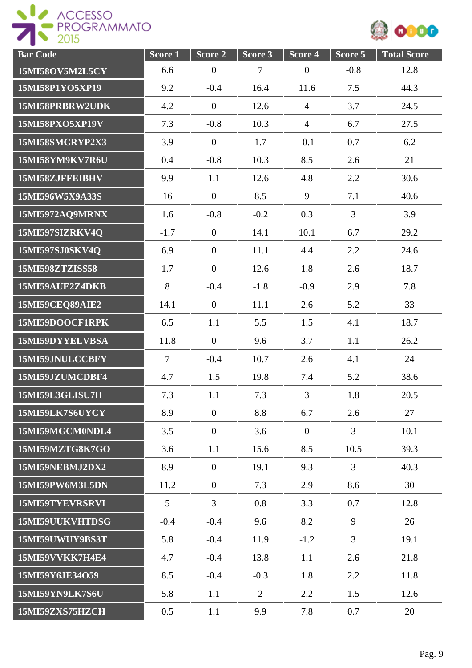

| <b>Bar Code</b>        | S <sub>core</sub> 1 | Score <sub>2</sub> | Score 3         | Score 4        | Score 5        | <b>Total Score</b> |
|------------------------|---------------------|--------------------|-----------------|----------------|----------------|--------------------|
| 15MI58OV5M2L5CY        | 6.6                 | $\boldsymbol{0}$   | $7\phantom{.0}$ | $\mathbf{0}$   | $-0.8$         | 12.8               |
| 15MI58P1YO5XP19        | 9.2                 | $-0.4$             | 16.4            | 11.6           | 7.5            | 44.3               |
| 15MI58PRBRW2UDK        | 4.2                 | $\overline{0}$     | 12.6            | $\overline{4}$ | 3.7            | 24.5               |
| 15MI58PXO5XP19V        | 7.3                 | $-0.8$             | 10.3            | $\overline{4}$ | 6.7            | 27.5               |
| 15MI58SMCRYP2X3        | 3.9                 | $\overline{0}$     | 1.7             | $-0.1$         | 0.7            | 6.2                |
| 15MI58YM9KV7R6U        | 0.4                 | $-0.8$             | 10.3            | 8.5            | 2.6            | 21                 |
| 15MI58ZJFFEIBHV        | 9.9                 | 1.1                | 12.6            | 4.8            | 2.2            | 30.6               |
| 15MI596W5X9A33S        | 16                  | $\theta$           | 8.5             | 9              | 7.1            | 40.6               |
| <b>15MI5972AQ9MRNX</b> | 1.6                 | $-0.8$             | $-0.2$          | 0.3            | 3              | 3.9                |
| 15MI597SIZRKV4Q        | $-1.7$              | $\mathbf{0}$       | 14.1            | 10.1           | 6.7            | 29.2               |
| 15MI597SJ0SKV4Q        | 6.9                 | $\overline{0}$     | 11.1            | 4.4            | 2.2            | 24.6               |
| 15MI598ZTZISS58        | 1.7                 | $\overline{0}$     | 12.6            | 1.8            | 2.6            | 18.7               |
| 15MI59AUE2Z4DKB        | 8                   | $-0.4$             | $-1.8$          | $-0.9$         | 2.9            | 7.8                |
| <b>15MI59CEQ89AIE2</b> | 14.1                | $\overline{0}$     | 11.1            | 2.6            | 5.2            | 33                 |
| 15MI59DOOCF1RPK        | 6.5                 | 1.1                | 5.5             | 1.5            | 4.1            | 18.7               |
| 15MI59DYYELVBSA        | 11.8                | $\overline{0}$     | 9.6             | 3.7            | 1.1            | 26.2               |
| 15MI59JNULCCBFY        | $7\phantom{.0}$     | $-0.4$             | 10.7            | 2.6            | 4.1            | 24                 |
| 15MI59JZUMCDBF4        | 4.7                 | 1.5                | 19.8            | 7.4            | 5.2            | 38.6               |
| 15MI59L3GLISU7H        | 7.3                 | 1.1                | 7.3             | 3              | 1.8            | 20.5               |
| 15MI59LK7S6UYCY        | 8.9                 | $\overline{0}$     | 8.8             | 6.7            | 2.6            | 27                 |
| 15MI59MGCM0NDL4        | 3.5                 | $\overline{0}$     | 3.6             | $\overline{0}$ | $\overline{3}$ | 10.1               |
| 15MI59MZTG8K7GO        | 3.6                 | 1.1                | 15.6            | 8.5            | 10.5           | 39.3               |
| 15MI59NEBMJ2DX2        | 8.9                 | $\overline{0}$     | 19.1            | 9.3            | $\overline{3}$ | 40.3               |
| 15MI59PW6M3L5DN        | 11.2                | $\overline{0}$     | 7.3             | 2.9            | 8.6            | 30                 |
| 15MI59TYEVRSRVI        | 5                   | $\overline{3}$     | 0.8             | 3.3            | 0.7            | 12.8               |
| 15MI59UUKVHTDSG        | $-0.4$              | $-0.4$             | 9.6             | 8.2            | 9              | 26                 |
| 15MI59UWUY9BS3T        | 5.8                 | $-0.4$             | 11.9            | $-1.2$         | 3              | 19.1               |
| 15MI59VVKK7H4E4        | 4.7                 | $-0.4$             | 13.8            | 1.1            | 2.6            | 21.8               |
| 15MI59Y6JE34O59        | 8.5                 | $-0.4$             | $-0.3$          | 1.8            | 2.2            | 11.8               |
| 15MI59YN9LK7S6U        | 5.8                 | 1.1                | $\overline{2}$  | 2.2            | 1.5            | 12.6               |
| 15MI59ZXS75HZCH        | 0.5                 | 1.1                | 9.9             | 7.8            | 0.7            | 20                 |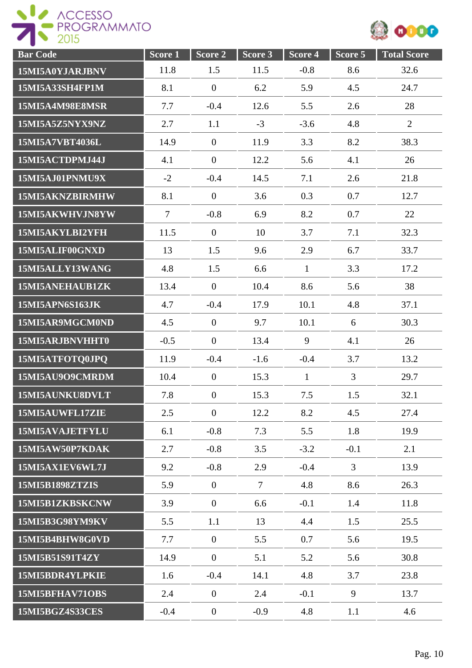



| <b>Bar Code</b>        | Score 1        | Score 2          | Score 3 | Score 4      | Score 5        | <b>Total Score</b> |
|------------------------|----------------|------------------|---------|--------------|----------------|--------------------|
| 15MI5A0YJARJBNV        | 11.8           | 1.5              | 11.5    | $-0.8$       | 8.6            | 32.6               |
| 15MI5A33SH4FP1M        | 8.1            | $\overline{0}$   | 6.2     | 5.9          | 4.5            | 24.7               |
| 15MI5A4M98E8MSR        | 7.7            | $-0.4$           | 12.6    | 5.5          | 2.6            | 28                 |
| 15MI5A5Z5NYX9NZ        | 2.7            | 1.1              | $-3$    | $-3.6$       | 4.8            | $\overline{2}$     |
| 15MI5A7VBT4036L        | 14.9           | $\mathbf{0}$     | 11.9    | 3.3          | 8.2            | 38.3               |
| 15MI5ACTDPMJ44J        | 4.1            | $\overline{0}$   | 12.2    | 5.6          | 4.1            | 26                 |
| 15MI5AJ01PNMU9X        | $-2$           | $-0.4$           | 14.5    | 7.1          | 2.6            | 21.8               |
| 15MI5AKNZBIRMHW        | 8.1            | $\overline{0}$   | 3.6     | 0.3          | 0.7            | 12.7               |
| 15MI5AKWHVJN8YW        | $\overline{7}$ | $-0.8$           | 6.9     | 8.2          | 0.7            | 22                 |
| 15MI5AKYLBI2YFH        | 11.5           | $\mathbf{0}$     | 10      | 3.7          | 7.1            | 32.3               |
| 15MI5ALIF00GNXD        | 13             | 1.5              | 9.6     | 2.9          | 6.7            | 33.7               |
| 15MI5ALLY13WANG        | 4.8            | 1.5              | 6.6     | $\mathbf{1}$ | 3.3            | 17.2               |
| 15MI5ANEHAUB1ZK        | 13.4           | $\mathbf{0}$     | 10.4    | 8.6          | 5.6            | 38                 |
| 15MI5APN6S163JK        | 4.7            | $-0.4$           | 17.9    | 10.1         | 4.8            | 37.1               |
| 15MI5AR9MGCM0ND        | 4.5            | $\overline{0}$   | 9.7     | 10.1         | 6              | 30.3               |
| 15MI5ARJBNVHHT0        | $-0.5$         | $\theta$         | 13.4    | 9            | 4.1            | 26                 |
| 15MI5ATFOTQ0JPQ        | 11.9           | $-0.4$           | $-1.6$  | $-0.4$       | 3.7            | 13.2               |
| 15MI5AU9O9CMRDM        | 10.4           | $\theta$         | 15.3    | $\mathbf{1}$ | $\overline{3}$ | 29.7               |
| 15MI5AUNKU8DVLT        | 7.8            | $\boldsymbol{0}$ | 15.3    | 7.5          | 1.5            | 32.1               |
| 15MI5AUWFL17ZIE        | 2.5            | $\theta$         | 12.2    | 8.2          | 4.5            | 27.4               |
| 15MI5AVAJETFYLU        | 6.1            | $-0.8$           | 7.3     | 5.5          | 1.8            | 19.9               |
| 15MI5AW50P7KDAK        | 2.7            | $-0.8$           | 3.5     | $-3.2$       | $-0.1$         | 2.1                |
| 15MI5AX1EV6WL7J        | 9.2            | $-0.8$           | 2.9     | $-0.4$       | $\overline{3}$ | 13.9               |
| <b>15MI5B1898ZTZIS</b> | 5.9            | $\mathbf{0}$     | $\tau$  | 4.8          | 8.6            | 26.3               |
| 15MI5B1ZKBSKCNW        | 3.9            | $\overline{0}$   | 6.6     | $-0.1$       | 1.4            | 11.8               |
| 15MI5B3G98YM9KV        | 5.5            | 1.1              | 13      | 4.4          | 1.5            | 25.5               |
| 15MI5B4BHW8G0VD        | 7.7            | $\overline{0}$   | 5.5     | 0.7          | 5.6            | 19.5               |
| 15MI5B51S91T4ZY        | 14.9           | $\boldsymbol{0}$ | 5.1     | 5.2          | 5.6            | 30.8               |
| 15MI5BDR4YLPKIE        | 1.6            | $-0.4$           | 14.1    | 4.8          | 3.7            | 23.8               |
| 15MI5BFHAV71OBS        | 2.4            | $\mathbf{0}$     | 2.4     | $-0.1$       | 9              | 13.7               |
| 15MI5BGZ4S33CES        | $-0.4$         | $\boldsymbol{0}$ | $-0.9$  | 4.8          | 1.1            | 4.6                |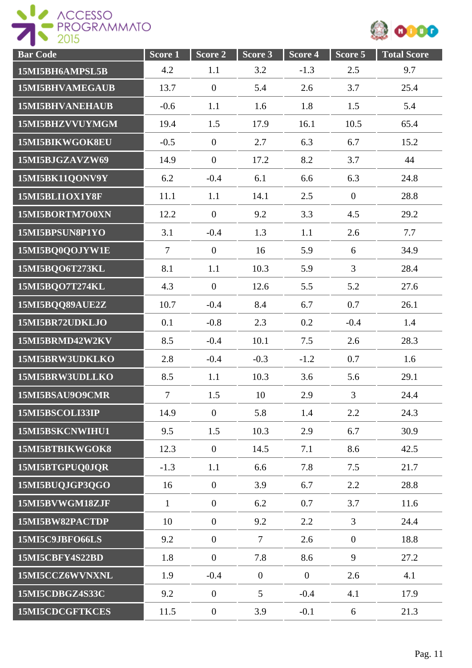



| <b>Bar Code</b>        | Score <sub>1</sub> | Score 2          | Score 3        | Score 4        | Score 5        | <b>Total Score</b> |
|------------------------|--------------------|------------------|----------------|----------------|----------------|--------------------|
| 15MI5BH6AMPSL5B        | 4.2                | 1.1              | 3.2            | $-1.3$         | 2.5            | 9.7                |
| <b>15MI5BHVAMEGAUB</b> | 13.7               | $\overline{0}$   | 5.4            | 2.6            | 3.7            | 25.4               |
| <b>15MI5BHVANEHAUB</b> | $-0.6$             | 1.1              | 1.6            | 1.8            | 1.5            | 5.4                |
| 15MI5BHZVVUYMGM        | 19.4               | 1.5              | 17.9           | 16.1           | 10.5           | 65.4               |
| 15MI5BIKWGOK8EU        | $-0.5$             | $\overline{0}$   | 2.7            | 6.3            | 6.7            | 15.2               |
| 15MI5BJGZAVZW69        | 14.9               | $\overline{0}$   | 17.2           | 8.2            | 3.7            | 44                 |
| 15MI5BK11QONV9Y        | 6.2                | $-0.4$           | 6.1            | 6.6            | 6.3            | 24.8               |
| 15MI5BLI1OX1Y8F        | 11.1               | 1.1              | 14.1           | 2.5            | $\overline{0}$ | 28.8               |
| 15MI5BORTM7O0XN        | 12.2               | $\overline{0}$   | 9.2            | 3.3            | 4.5            | 29.2               |
| 15MI5BPSUN8P1YO        | 3.1                | $-0.4$           | 1.3            | 1.1            | 2.6            | 7.7                |
| 15MI5BQ0QOJYW1E        | $\overline{7}$     | $\boldsymbol{0}$ | 16             | 5.9            | 6              | 34.9               |
| 15MI5BQO6T273KL        | 8.1                | 1.1              | 10.3           | 5.9            | 3              | 28.4               |
| 15MI5BQO7T274KL        | 4.3                | $\overline{0}$   | 12.6           | 5.5            | 5.2            | 27.6               |
| 15MI5BQQ89AUE2Z        | 10.7               | $-0.4$           | 8.4            | 6.7            | 0.7            | 26.1               |
| 15MI5BR72UDKLJO        | 0.1                | $-0.8$           | 2.3            | 0.2            | $-0.4$         | 1.4                |
| 15MI5BRMD42W2KV        | 8.5                | $-0.4$           | 10.1           | 7.5            | 2.6            | 28.3               |
| 15MI5BRW3UDKLKO        | 2.8                | $-0.4$           | $-0.3$         | $-1.2$         | 0.7            | 1.6                |
| 15MI5BRW3UDLLKO        | 8.5                | 1.1              | 10.3           | 3.6            | 5.6            | 29.1               |
| 15MI5BSAU9O9CMR        | $\overline{7}$     | 1.5              | 10             | 2.9            | $\overline{3}$ | 24.4               |
| 15MI5BSCOLI33IP        | 14.9               | $\overline{0}$   | 5.8            | 1.4            | 2.2            | 24.3               |
| 15MI5BSKCNWIHU1        | 9.5                | 1.5              | 10.3           | 2.9            | 6.7            | 30.9               |
| 15MI5BTBIKWGOK8        | 12.3               | $\overline{0}$   | 14.5           | 7.1            | 8.6            | 42.5               |
| 15MI5BTGPUQ0JQR        | $-1.3$             | 1.1              | 6.6            | 7.8            | 7.5            | 21.7               |
| 15MI5BUQJGP3QGO        | 16                 | $\overline{0}$   | 3.9            | 6.7            | 2.2            | 28.8               |
| 15MI5BVWGM18ZJF        | $\mathbf{1}$       | $\overline{0}$   | 6.2            | 0.7            | 3.7            | 11.6               |
| 15MI5BW82PACTDP        | 10                 | $\overline{0}$   | 9.2            | 2.2            | $\overline{3}$ | 24.4               |
| 15MI5C9JBFO66LS        | 9.2                | $\overline{0}$   | $\overline{7}$ | 2.6            | $\overline{0}$ | 18.8               |
| 15MI5CBFY4S22BD        | 1.8                | $\overline{0}$   | 7.8            | 8.6            | 9              | 27.2               |
| 15MI5CCZ6WVNXNL        | 1.9                | $-0.4$           | $\mathbf{0}$   | $\overline{0}$ | 2.6            | 4.1                |
| 15MI5CDBGZ4S33C        | 9.2                | $\mathbf{0}$     | 5              | $-0.4$         | 4.1            | 17.9               |
| 15MI5CDCGFTKCES        | 11.5               | $\boldsymbol{0}$ | 3.9            | $-0.1$         | 6              | 21.3               |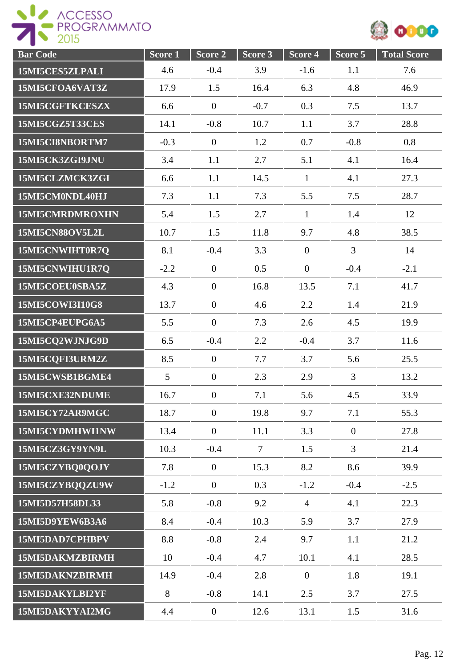

| <b>Bar</b> Code        | Score 1 | Score 2          | Score 3 | Score 4        | Score 5        | <b>Total Score</b> |
|------------------------|---------|------------------|---------|----------------|----------------|--------------------|
| 15MI5CES5ZLPALI        | 4.6     | $-0.4$           | 3.9     | $-1.6$         | 1.1            | 7.6                |
| 15MI5CFOA6VAT3Z        | 17.9    | 1.5              | 16.4    | 6.3            | 4.8            | 46.9               |
| 15MI5CGFTKCESZX        | 6.6     | $\mathbf{0}$     | $-0.7$  | 0.3            | 7.5            | 13.7               |
| 15MI5CGZ5T33CES        | 14.1    | $-0.8$           | 10.7    | 1.1            | 3.7            | 28.8               |
| 15MI5CI8NBORTM7        | $-0.3$  | $\mathbf{0}$     | 1.2     | 0.7            | $-0.8$         | 0.8                |
| 15MI5CK3ZGI9JNU        | 3.4     | 1.1              | 2.7     | 5.1            | 4.1            | 16.4               |
| 15MI5CLZMCK3ZGI        | 6.6     | 1.1              | 14.5    | $\mathbf{1}$   | 4.1            | 27.3               |
| 15MI5CM0NDL40HJ        | 7.3     | 1.1              | 7.3     | 5.5            | 7.5            | 28.7               |
| 15MI5CMRDMROXHN        | 5.4     | 1.5              | 2.7     | $\mathbf{1}$   | 1.4            | 12                 |
| <b>15MI5CN88OV5L2L</b> | 10.7    | 1.5              | 11.8    | 9.7            | 4.8            | 38.5               |
| 15MI5CNWIHT0R7Q        | 8.1     | $-0.4$           | 3.3     | $\overline{0}$ | 3              | 14                 |
| 15MI5CNWIHU1R7Q        | $-2.2$  | $\mathbf{0}$     | 0.5     | $\overline{0}$ | $-0.4$         | $-2.1$             |
| 15MI5COEU0SBA5Z        | 4.3     | $\overline{0}$   | 16.8    | 13.5           | 7.1            | 41.7               |
| 15MI5COWI3I10G8        | 13.7    | $\overline{0}$   | 4.6     | 2.2            | 1.4            | 21.9               |
| 15MI5CP4EUPG6A5        | 5.5     | $\overline{0}$   | 7.3     | 2.6            | 4.5            | 19.9               |
| 15MI5CQ2WJNJG9D        | 6.5     | $-0.4$           | 2.2     | $-0.4$         | 3.7            | 11.6               |
| 15MI5CQFI3URM2Z        | 8.5     | $\mathbf{0}$     | 7.7     | 3.7            | 5.6            | 25.5               |
| 15MI5CWSB1BGME4        | 5       | $\overline{0}$   | 2.3     | 2.9            | $\overline{3}$ | 13.2               |
| 15MI5CXE32NDUME        | 16.7    | $\boldsymbol{0}$ | 7.1     | 5.6            | 4.5            | 33.9               |
| 15MI5CY72AR9MGC        | 18.7    | $\overline{0}$   | 19.8    | 9.7            | 7.1            | 55.3               |
| 15MI5CYDMHWI1NW        | 13.4    | $\overline{0}$   | 11.1    | 3.3            | $\overline{0}$ | 27.8               |
| 15MI5CZ3GY9YN9L        | 10.3    | $-0.4$           | $\tau$  | 1.5            | 3              | 21.4               |
| 15MI5CZYBQ0QOJY        | 7.8     | $\overline{0}$   | 15.3    | 8.2            | 8.6            | 39.9               |
| 15MI5CZYBQQZU9W        | $-1.2$  | $\overline{0}$   | 0.3     | $-1.2$         | $-0.4$         | $-2.5$             |
| 15MI5D57H58DL33        | 5.8     | $-0.8$           | 9.2     | $\overline{4}$ | 4.1            | 22.3               |
| 15MI5D9YEW6B3A6        | 8.4     | $-0.4$           | 10.3    | 5.9            | 3.7            | 27.9               |
| 15MI5DAD7CPHBPV        | 8.8     | $-0.8$           | 2.4     | 9.7            | 1.1            | 21.2               |
| 15MI5DAKMZBIRMH        | 10      | $-0.4$           | 4.7     | 10.1           | 4.1            | 28.5               |
| 15MI5DAKNZBIRMH        | 14.9    | $-0.4$           | 2.8     | $\overline{0}$ | 1.8            | 19.1               |
| 15MI5DAKYLBI2YF        | 8       | $-0.8$           | 14.1    | 2.5            | 3.7            | 27.5               |
| 15MI5DAKYYAI2MG        | 4.4     | $\boldsymbol{0}$ | 12.6    | 13.1           | 1.5            | 31.6               |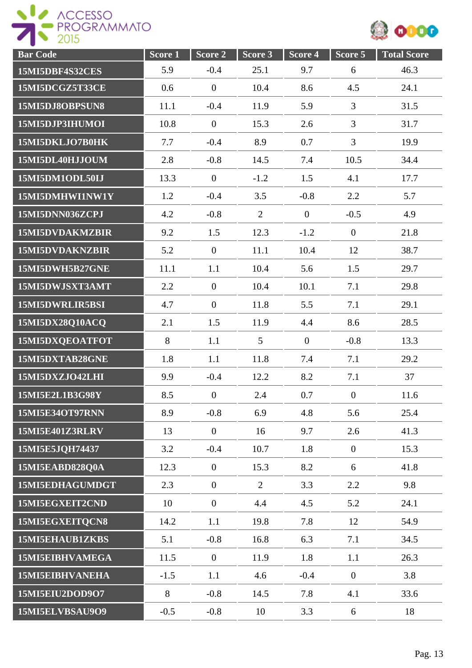

| <b>Bar Code</b>        | Score 1 | Score 2          | Score <sub>3</sub> | Score 4        | Score 5          | <b>Total Score</b> |
|------------------------|---------|------------------|--------------------|----------------|------------------|--------------------|
| 15MI5DBF4S32CES        | 5.9     | $-0.4$           | 25.1               | 9.7            | 6                | 46.3               |
| 15MI5DCGZ5T33CE        | 0.6     | $\boldsymbol{0}$ | 10.4               | 8.6            | 4.5              | 24.1               |
| 15MI5DJ8OBPSUN8        | 11.1    | $-0.4$           | 11.9               | 5.9            | 3                | 31.5               |
| 15MI5DJP3IHUMOI        | 10.8    | $\boldsymbol{0}$ | 15.3               | 2.6            | $\overline{3}$   | 31.7               |
| 15MI5DKLJO7B0HK        | 7.7     | $-0.4$           | 8.9                | 0.7            | 3                | 19.9               |
| 15MI5DL40HJJOUM        | 2.8     | $-0.8$           | 14.5               | 7.4            | 10.5             | 34.4               |
| 15MI5DM1ODL50IJ        | 13.3    | $\boldsymbol{0}$ | $-1.2$             | 1.5            | 4.1              | 17.7               |
| 15MI5DMHWI1NW1Y        | 1.2     | $-0.4$           | 3.5                | $-0.8$         | 2.2              | 5.7                |
| 15MI5DNN036ZCPJ        | 4.2     | $-0.8$           | $\overline{2}$     | $\overline{0}$ | $-0.5$           | 4.9                |
| 15MI5DVDAKMZBIR        | 9.2     | 1.5              | 12.3               | $-1.2$         | $\overline{0}$   | 21.8               |
| 15MI5DVDAKNZBIR        | 5.2     | $\overline{0}$   | 11.1               | 10.4           | 12               | 38.7               |
| 15MI5DWH5B27GNE        | 11.1    | 1.1              | 10.4               | 5.6            | 1.5              | 29.7               |
| 15MI5DWJSXT3AMT        | 2.2     | $\boldsymbol{0}$ | 10.4               | 10.1           | 7.1              | 29.8               |
| 15MI5DWRLIR5BSI        | 4.7     | $\boldsymbol{0}$ | 11.8               | 5.5            | 7.1              | 29.1               |
| 15MI5DX28Q10ACQ        | 2.1     | 1.5              | 11.9               | 4.4            | 8.6              | 28.5               |
| 15MI5DXQEOATFOT        | 8       | 1.1              | 5                  | $\overline{0}$ | $-0.8$           | 13.3               |
| 15MI5DXTAB28GNE        | 1.8     | 1.1              | 11.8               | 7.4            | 7.1              | 29.2               |
| 15MI5DXZJO42LHI        | 9.9     | $-0.4$           | 12.2               | 8.2            | 7.1              | 37                 |
| 15MI5E2L1B3G98Y        | 8.5     | $\boldsymbol{0}$ | 2.4                | 0.7            | $\boldsymbol{0}$ | 11.6               |
| 15MI5E34OT97RNN        | 8.9     | $-0.8$           | 6.9                | 4.8            | 5.6              | 25.4               |
| 15MI5E401Z3RLRV        | 13      | $\overline{0}$   | 16                 | 9.7            | 2.6              | 41.3               |
| 15MI5E5JQH74437        | 3.2     | $-0.4$           | 10.7               | 1.8            | $\overline{0}$   | 15.3               |
| 15MI5EABD828Q0A        | 12.3    | $\mathbf{0}$     | 15.3               | 8.2            | 6                | 41.8               |
| 15MI5EDHAGUMDGT        | 2.3     | $\overline{0}$   | $\overline{2}$     | 3.3            | 2.2              | 9.8                |
| 15MI5EGXEIT2CND        | 10      | $\boldsymbol{0}$ | 4.4                | 4.5            | 5.2              | 24.1               |
| 15MI5EGXEITQCN8        | 14.2    | 1.1              | 19.8               | 7.8            | 12               | 54.9               |
| 15MI5EHAUB1ZKBS        | 5.1     | $-0.8$           | 16.8               | 6.3            | 7.1              | 34.5               |
| 15MI5EIBHVAMEGA        | 11.5    | $\overline{0}$   | 11.9               | 1.8            | 1.1              | 26.3               |
| <b>15MI5EIBHVANEHA</b> | $-1.5$  | 1.1              | 4.6                | $-0.4$         | $\overline{0}$   | 3.8                |
| 15MI5EIU2DOD9O7        | 8       | $-0.8$           | 14.5               | 7.8            | 4.1              | 33.6               |
| 15MI5ELVBSAU9O9        | $-0.5$  | $-0.8$           | 10                 | 3.3            | 6                | 18                 |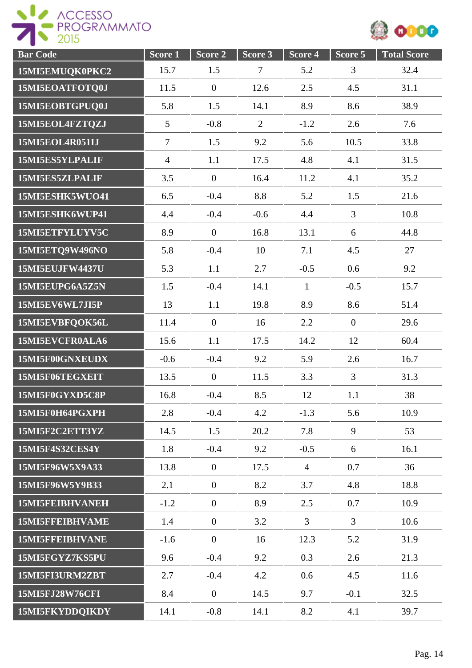

| <b>Bar Code</b>        | Score 1        | Score 2        | Score 3        | Score 4        | Score 5          | <b>Total Score</b> |
|------------------------|----------------|----------------|----------------|----------------|------------------|--------------------|
| 15MI5EMUQK0PKC2        | 15.7           | 1.5            | $\overline{7}$ | 5.2            | 3                | 32.4               |
| 15MI5EOATFOTQ0J        | 11.5           | $\overline{0}$ | 12.6           | 2.5            | 4.5              | 31.1               |
| 15MI5EOBTGPUQ0J        | 5.8            | 1.5            | 14.1           | 8.9            | 8.6              | 38.9               |
| 15MI5EOL4FZTQZJ        | 5              | $-0.8$         | $\overline{2}$ | $-1.2$         | 2.6              | 7.6                |
| 15MI5EOL4R051IJ        | $\overline{7}$ | 1.5            | 9.2            | 5.6            | 10.5             | 33.8               |
| 15MI5ES5YLPALIF        | $\overline{4}$ | 1.1            | 17.5           | 4.8            | 4.1              | 31.5               |
| 15MI5ES5ZLPALIF        | 3.5            | $\overline{0}$ | 16.4           | 11.2           | 4.1              | 35.2               |
| 15MI5ESHK5WUO41        | 6.5            | $-0.4$         | 8.8            | 5.2            | 1.5              | 21.6               |
| 15MI5ESHK6WUP41        | 4.4            | $-0.4$         | $-0.6$         | 4.4            | $\overline{3}$   | 10.8               |
| 15MI5ETFYLUYV5C        | 8.9            | $\mathbf{0}$   | 16.8           | 13.1           | 6                | 44.8               |
| 15MI5ETQ9W496NO        | 5.8            | $-0.4$         | 10             | 7.1            | 4.5              | 27                 |
| <b>15MI5EUJFW4437U</b> | 5.3            | 1.1            | 2.7            | $-0.5$         | 0.6              | 9.2                |
| 15MI5EUPG6A5Z5N        | 1.5            | $-0.4$         | 14.1           | $\mathbf{1}$   | $-0.5$           | 15.7               |
| 15MI5EV6WL7JI5P        | 13             | 1.1            | 19.8           | 8.9            | 8.6              | 51.4               |
| 15MI5EVBFQOK56L        | 11.4           | $\overline{0}$ | 16             | 2.2            | $\boldsymbol{0}$ | 29.6               |
| 15MI5EVCFR0ALA6        | 15.6           | 1.1            | 17.5           | 14.2           | 12               | 60.4               |
| 15MI5F00GNXEUDX        | $-0.6$         | $-0.4$         | 9.2            | 5.9            | 2.6              | 16.7               |
| 15MI5F06TEGXEIT        | 13.5           | $\mathbf{0}$   | 11.5           | 3.3            | $\overline{3}$   | 31.3               |
| 15MI5F0GYXD5C8P        | 16.8           | $-0.4$         | 8.5            | 12             | 1.1              | 38                 |
| 15MI5F0H64PGXPH        | 2.8            | $-0.4$         | 4.2            | $-1.3$         | 5.6              | 10.9               |
| 15MI5F2C2ETT3YZ        | 14.5           | 1.5            | 20.2           | 7.8            | 9                | 53                 |
| 15MI5F4S32CES4Y        | 1.8            | $-0.4$         | 9.2            | $-0.5$         | 6                | 16.1               |
| 15MI5F96W5X9A33        | 13.8           | $\overline{0}$ | 17.5           | $\overline{4}$ | 0.7              | 36                 |
| 15MI5F96W5Y9B33        | 2.1            | $\overline{0}$ | 8.2            | 3.7            | 4.8              | 18.8               |
| <b>15MI5FEIBHVANEH</b> | $-1.2$         | $\overline{0}$ | 8.9            | 2.5            | 0.7              | 10.9               |
| 15MI5FFEIBHVAME        | 1.4            | $\overline{0}$ | 3.2            | $\overline{3}$ | $\overline{3}$   | 10.6               |
| 15MI5FFEIBHVANE        | $-1.6$         | $\overline{0}$ | 16             | 12.3           | 5.2              | 31.9               |
| 15MI5FGYZ7KS5PU        | 9.6            | $-0.4$         | 9.2            | 0.3            | 2.6              | 21.3               |
| 15MI5FI3URM2ZBT        | 2.7            | $-0.4$         | 4.2            | 0.6            | 4.5              | 11.6               |
| 15MI5FJ28W76CFI        | 8.4            | $\mathbf{0}$   | 14.5           | 9.7            | $-0.1$           | 32.5               |
| 15MI5FKYDDQIKDY        | 14.1           | $-0.8$         | 14.1           | 8.2            | 4.1              | 39.7               |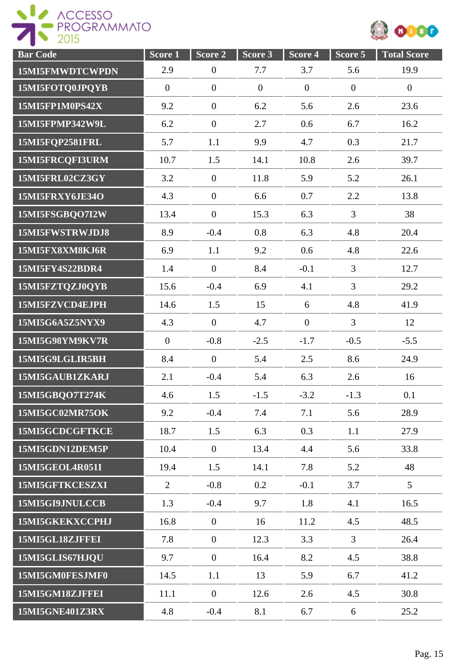



| <b>Bar Code</b>        | Score 1        | Score 2          | Score 3      | Score 4        | Score 5        | <b>Total Score</b> |
|------------------------|----------------|------------------|--------------|----------------|----------------|--------------------|
| 15MI5FMWDTCWPDN        | 2.9            | $\boldsymbol{0}$ | 7.7          | 3.7            | 5.6            | 19.9               |
| 15MI5FOTQ0JPQYB        | $\mathbf{0}$   | $\overline{0}$   | $\mathbf{0}$ | $\mathbf{0}$   | $\overline{0}$ | $\overline{0}$     |
| 15MI5FP1M0PS42X        | 9.2            | $\boldsymbol{0}$ | 6.2          | 5.6            | 2.6            | 23.6               |
| 15MI5FPMP342W9L        | 6.2            | $\overline{0}$   | 2.7          | 0.6            | 6.7            | 16.2               |
| 15MI5FQP2581FRL        | 5.7            | 1.1              | 9.9          | 4.7            | 0.3            | 21.7               |
| 15MI5FRCQFI3URM        | 10.7           | 1.5              | 14.1         | 10.8           | 2.6            | 39.7               |
| 15MI5FRL02CZ3GY        | 3.2            | $\mathbf{0}$     | 11.8         | 5.9            | 5.2            | 26.1               |
| 15MI5FRXY6JE34O        | 4.3            | $\overline{0}$   | 6.6          | 0.7            | 2.2            | 13.8               |
| 15MI5FSGBQO7I2W        | 13.4           | $\overline{0}$   | 15.3         | 6.3            | $\overline{3}$ | 38                 |
| 15MI5FWSTRWJDJ8        | 8.9            | $-0.4$           | 0.8          | 6.3            | 4.8            | 20.4               |
| 15MI5FX8XM8KJ6R        | 6.9            | 1.1              | 9.2          | 0.6            | 4.8            | 22.6               |
| 15MI5FY4S22BDR4        | 1.4            | $\overline{0}$   | 8.4          | $-0.1$         | $\overline{3}$ | 12.7               |
| 15MI5FZTQZJ0QYB        | 15.6           | $-0.4$           | 6.9          | 4.1            | 3              | 29.2               |
| 15MI5FZVCD4EJPH        | 14.6           | 1.5              | 15           | 6              | 4.8            | 41.9               |
| 15MI5G6A5Z5NYX9        | 4.3            | $\overline{0}$   | 4.7          | $\overline{0}$ | $\overline{3}$ | 12                 |
| 15MI5G98YM9KV7R        | $\overline{0}$ | $-0.8$           | $-2.5$       | $-1.7$         | $-0.5$         | $-5.5$             |
| 15MI5G9LGLIR5BH        | 8.4            | $\overline{0}$   | 5.4          | 2.5            | 8.6            | 24.9               |
| 15MI5GAUB1ZKARJ        | 2.1            | $-0.4$           | 5.4          | 6.3            | 2.6            | 16                 |
| 15MI5GBQO7T274K        | 4.6            | 1.5              | $-1.5$       | $-3.2$         | $-1.3$         | 0.1                |
| 15MI5GC02MR75OK        | 9.2            | $-0.4$           | 7.4          | 7.1            | 5.6            | 28.9               |
| 15MI5GCDCGFTKCE        | 18.7           | 1.5              | 6.3          | 0.3            | 1.1            | 27.9               |
| 15MI5GDN12DEM5P        | 10.4           | $\mathbf{0}$     | 13.4         | 4.4            | 5.6            | 33.8               |
| 15MI5GEOL4R051I        | 19.4           | 1.5              | 14.1         | 7.8            | 5.2            | 48                 |
| 15MI5GFTKCESZXI        | $\overline{2}$ | $-0.8$           | 0.2          | $-0.1$         | 3.7            | $5\overline{)}$    |
| 15MI5GI9JNULCCB        | 1.3            | $-0.4$           | 9.7          | 1.8            | 4.1            | 16.5               |
| 15MI5GKEKXCCPHJ        | 16.8           | $\overline{0}$   | 16           | 11.2           | 4.5            | 48.5               |
| 15MI5GL18ZJFFEI        | 7.8            | $\overline{0}$   | 12.3         | 3.3            | $\overline{3}$ | 26.4               |
| 15MI5GLIS67HJQU        | 9.7            | $\overline{0}$   | 16.4         | 8.2            | 4.5            | 38.8               |
| 15MI5GM0FESJMF0        | 14.5           | 1.1              | 13           | 5.9            | 6.7            | 41.2               |
| 15MI5GM18ZJFFEI        | 11.1           | $\boldsymbol{0}$ | 12.6         | 2.6            | 4.5            | 30.8               |
| <b>15MI5GNE401Z3RX</b> | 4.8            | $-0.4$           | 8.1          | 6.7            | 6              | 25.2               |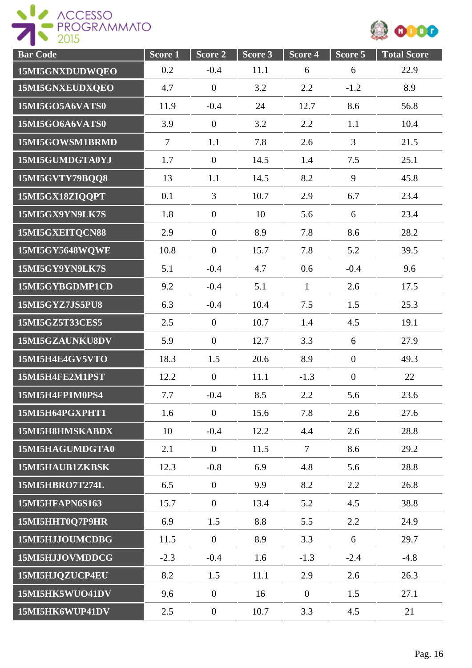

| <b>Bar Code</b>        | Score <sub>1</sub> | Score 2          | Score <sub>3</sub> | Score <sub>4</sub> | Score 5        | <b>Total Score</b> |
|------------------------|--------------------|------------------|--------------------|--------------------|----------------|--------------------|
| 15MI5GNXDUDWQEO        | 0.2                | $-0.4$           | 11.1               | 6                  | 6              | 22.9               |
| 15MI5GNXEUDXQEO        | 4.7                | $\overline{0}$   | 3.2                | 2.2                | $-1.2$         | 8.9                |
| 15MI5GO5A6VATS0        | 11.9               | $-0.4$           | 24                 | 12.7               | 8.6            | 56.8               |
| 15MI5GO6A6VATS0        | 3.9                | $\overline{0}$   | 3.2                | 2.2                | 1.1            | 10.4               |
| 15MI5GOWSM1BRMD        | $\overline{7}$     | 1.1              | 7.8                | 2.6                | 3              | 21.5               |
| 15MI5GUMDGTA0YJ        | 1.7                | $\boldsymbol{0}$ | 14.5               | 1.4                | 7.5            | 25.1               |
| 15MI5GVTY79BQQ8        | 13                 | 1.1              | 14.5               | 8.2                | 9              | 45.8               |
| 15MI5GX18ZIQQPT        | 0.1                | $\overline{3}$   | 10.7               | 2.9                | 6.7            | 23.4               |
| 15MI5GX9YN9LK7S        | 1.8                | $\overline{0}$   | 10                 | 5.6                | 6              | 23.4               |
| 15MI5GXEITQCN88        | 2.9                | $\mathbf{0}$     | 8.9                | 7.8                | 8.6            | 28.2               |
| 15MI5GY5648WQWE        | 10.8               | $\overline{0}$   | 15.7               | 7.8                | 5.2            | 39.5               |
| 15MI5GY9YN9LK7S        | 5.1                | $-0.4$           | 4.7                | 0.6                | $-0.4$         | 9.6                |
| 15MI5GYBGDMP1CD        | 9.2                | $-0.4$           | 5.1                | $\mathbf{1}$       | 2.6            | 17.5               |
| 15MI5GYZ7JS5PU8        | 6.3                | $-0.4$           | 10.4               | 7.5                | 1.5            | 25.3               |
| 15MI5GZ5T33CES5        | 2.5                | $\boldsymbol{0}$ | 10.7               | 1.4                | 4.5            | 19.1               |
| 15MI5GZAUNKU8DV        | 5.9                | $\overline{0}$   | 12.7               | 3.3                | 6              | 27.9               |
| 15MI5H4E4GV5VTO        | 18.3               | 1.5              | 20.6               | 8.9                | $\overline{0}$ | 49.3               |
| 15MI5H4FE2M1PST        | 12.2               | $\overline{0}$   | 11.1               | $-1.3$             | $\overline{0}$ | 22                 |
| 15MI5H4FP1M0PS4        | 7.7                | $-0.4$           | 8.5                | 2.2                | 5.6            | 23.6               |
| 15MI5H64PGXPHT1        | 1.6                | $\overline{0}$   | 15.6               | 7.8                | 2.6            | 27.6               |
| 15MI5H8HMSKABDX        | 10                 | $-0.4$           | 12.2               | 4.4                | 2.6            | 28.8               |
| 15MI5HAGUMDGTA0        | 2.1                | $\mathbf{0}$     | 11.5               | $\tau$             | 8.6            | 29.2               |
| 15MI5HAUB1ZKBSK        | 12.3               | $-0.8$           | 6.9                | 4.8                | 5.6            | 28.8               |
| 15MI5HBRO7T274L        | 6.5                | $\theta$         | 9.9                | 8.2                | 2.2            | 26.8               |
| <b>15MI5HFAPN6S163</b> | 15.7               | $\overline{0}$   | 13.4               | 5.2                | 4.5            | 38.8               |
| 15MI5HHT0Q7P9HR        | 6.9                | 1.5              | 8.8                | 5.5                | 2.2            | 24.9               |
| 15MI5HJJOUMCDBG        | 11.5               | $\overline{0}$   | 8.9                | 3.3                | 6              | 29.7               |
| 15MI5HJJOVMDDCG        | $-2.3$             | $-0.4$           | 1.6                | $-1.3$             | $-2.4$         | $-4.8$             |
| 15MI5HJQZUCP4EU        | 8.2                | 1.5              | 11.1               | 2.9                | 2.6            | 26.3               |
| 15MI5HK5WUO41DV        | 9.6                | $\overline{0}$   | 16                 | $\overline{0}$     | 1.5            | 27.1               |
| 15MI5HK6WUP41DV        | 2.5                | $\boldsymbol{0}$ | 10.7               | 3.3                | 4.5            | 21                 |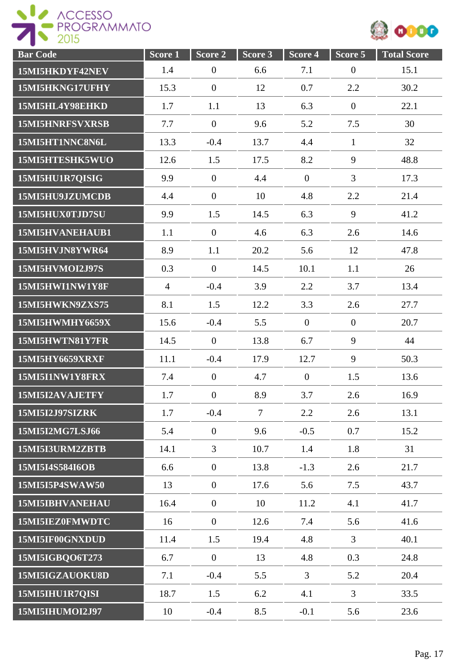



| <b>Bar Code</b>        | Score <sub>1</sub> | Score 2          | Score 3 | Score 4        | Score 5        | <b>Total Score</b> |
|------------------------|--------------------|------------------|---------|----------------|----------------|--------------------|
| 15MI5HKDYF42NEV        | 1.4                | $\boldsymbol{0}$ | 6.6     | 7.1            | $\overline{0}$ | 15.1               |
| 15MI5HKNG17UFHY        | 15.3               | $\mathbf{0}$     | 12      | 0.7            | 2.2            | 30.2               |
| 15MI5HL4Y98EHKD        | 1.7                | 1.1              | 13      | 6.3            | $\overline{0}$ | 22.1               |
| 15MI5HNRFSVXRSB        | 7.7                | $\mathbf{0}$     | 9.6     | 5.2            | 7.5            | 30                 |
| 15MI5HT1NNC8N6L        | 13.3               | $-0.4$           | 13.7    | 4.4            | $\mathbf{1}$   | 32                 |
| 15MI5HTESHK5WUO        | 12.6               | 1.5              | 17.5    | 8.2            | 9              | 48.8               |
| 15MI5HU1R7QISIG        | 9.9                | $\overline{0}$   | 4.4     | $\overline{0}$ | $\overline{3}$ | 17.3               |
| 15MI5HU9JZUMCDB        | 4.4                | $\theta$         | 10      | 4.8            | 2.2            | 21.4               |
| 15MI5HUX0TJD7SU        | 9.9                | 1.5              | 14.5    | 6.3            | 9              | 41.2               |
| 15MI5HVANEHAUB1        | 1.1                | $\overline{0}$   | 4.6     | 6.3            | 2.6            | 14.6               |
| 15MI5HVJN8YWR64        | 8.9                | 1.1              | 20.2    | 5.6            | 12             | 47.8               |
| 15MI5HVMOI2J97S        | 0.3                | $\overline{0}$   | 14.5    | 10.1           | 1.1            | 26                 |
| 15MI5HWI1NW1Y8F        | $\overline{4}$     | $-0.4$           | 3.9     | 2.2            | 3.7            | 13.4               |
| 15MI5HWKN9ZXS75        | 8.1                | 1.5              | 12.2    | 3.3            | 2.6            | 27.7               |
| 15MI5HWMHY6659X        | 15.6               | $-0.4$           | 5.5     | $\mathbf{0}$   | $\mathbf{0}$   | 20.7               |
| 15MI5HWTN81Y7FR        | 14.5               | $\overline{0}$   | 13.8    | 6.7            | 9              | 44                 |
| <b>15MI5HY6659XRXF</b> | 11.1               | $-0.4$           | 17.9    | 12.7           | 9              | 50.3               |
| 15MI5I1NW1Y8FRX        | 7.4                | $\overline{0}$   | 4.7     | $\mathbf{0}$   | 1.5            | 13.6               |
| 15MI5I2AVAJETFY        | 1.7                | $\boldsymbol{0}$ | 8.9     | 3.7            | 2.6            | 16.9               |
| <b>15MI5I2J97SIZRK</b> | 1.7                | $-0.4$           | $\tau$  | 2.2            | 2.6            | 13.1               |
| 15MI5I2MG7LSJ66        | 5.4                | $\overline{0}$   | 9.6     | $-0.5$         | 0.7            | 15.2               |
| 15MI5I3URM2ZBTB        | 14.1               | $\overline{3}$   | 10.7    | 1.4            | 1.8            | 31                 |
| 15MI5I4S584I6OB        | 6.6                | $\overline{0}$   | 13.8    | $-1.3$         | 2.6            | 21.7               |
| 15MI5I5P4SWAW50        | 13                 | $\overline{0}$   | 17.6    | 5.6            | 7.5            | 43.7               |
| 15MI5IBHVANEHAU        | 16.4               | $\overline{0}$   | 10      | 11.2           | 4.1            | 41.7               |
| 15MI5IEZ0FMWDTC        | 16                 | $\overline{0}$   | 12.6    | 7.4            | 5.6            | 41.6               |
| 15MI5IF00GNXDUD        | 11.4               | 1.5              | 19.4    | 4.8            | 3              | 40.1               |
| 15MI5IGBQO6T273        | 6.7                | $\mathbf{0}$     | 13      | 4.8            | 0.3            | 24.8               |
| 15MI5IGZAUOKU8D        | 7.1                | $-0.4$           | 5.5     | 3              | 5.2            | 20.4               |
| 15MI5IHU1R7QISI        | 18.7               | 1.5              | 6.2     | 4.1            | $\overline{3}$ | 33.5               |
| 15MI5IHUMOI2J97        | 10                 | $-0.4$           | 8.5     | $-0.1$         | 5.6            | 23.6               |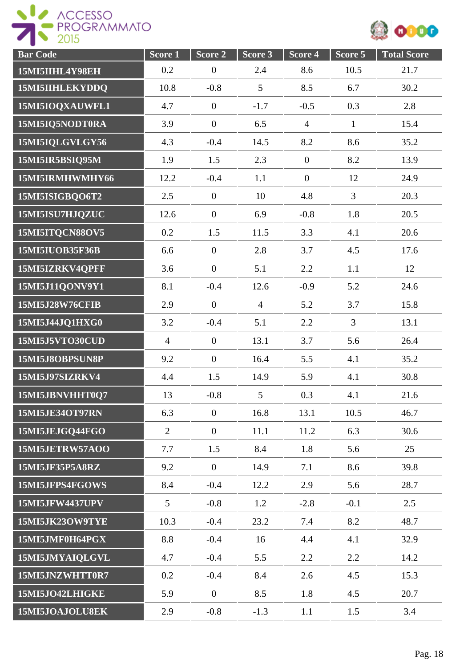



| <b>Bar Code</b>        | Score <sub>1</sub> | Score 2          | Score 3        | Score 4          | Score 5        | <b>Total Score</b> |
|------------------------|--------------------|------------------|----------------|------------------|----------------|--------------------|
| 15MI5IIHL4Y98EH        | 0.2                | $\boldsymbol{0}$ | 2.4            | 8.6              | 10.5           | 21.7               |
| 15MI5IIHLEKYDDQ        | 10.8               | $-0.8$           | 5              | 8.5              | 6.7            | 30.2               |
| 15MI5IOQXAUWFL1        | 4.7                | $\boldsymbol{0}$ | $-1.7$         | $-0.5$           | 0.3            | 2.8                |
| 15MI5IQ5NODT0RA        | 3.9                | $\boldsymbol{0}$ | 6.5            | $\overline{4}$   | $\mathbf{1}$   | 15.4               |
| 15MI5IQLGVLGY56        | 4.3                | $-0.4$           | 14.5           | 8.2              | 8.6            | 35.2               |
| 15MI5IR5BSIQ95M        | 1.9                | 1.5              | 2.3            | $\boldsymbol{0}$ | 8.2            | 13.9               |
| 15MI5IRMHWMHY66        | 12.2               | $-0.4$           | 1.1            | $\mathbf{0}$     | 12             | 24.9               |
| 15MI5ISIGBQO6T2        | 2.5                | $\overline{0}$   | 10             | 4.8              | $\overline{3}$ | 20.3               |
| 15MI5ISU7HJQZUC        | 12.6               | $\mathbf{0}$     | 6.9            | $-0.8$           | 1.8            | 20.5               |
| 15MI5ITQCN88OV5        | 0.2                | 1.5              | 11.5           | 3.3              | 4.1            | 20.6               |
| 15MI5IUOB35F36B        | 6.6                | $\mathbf{0}$     | 2.8            | 3.7              | 4.5            | 17.6               |
| 15MI5IZRKV4QPFF        | 3.6                | $\mathbf{0}$     | 5.1            | 2.2              | 1.1            | 12                 |
| 15MI5J11QONV9Y1        | 8.1                | $-0.4$           | 12.6           | $-0.9$           | 5.2            | 24.6               |
| 15MI5J28W76CFIB        | 2.9                | $\boldsymbol{0}$ | $\overline{4}$ | 5.2              | 3.7            | 15.8               |
| 15MI5J44JQ1HXG0        | 3.2                | $-0.4$           | 5.1            | 2.2              | 3              | 13.1               |
| 15MI5J5VTO30CUD        | $\overline{4}$     | $\mathbf{0}$     | 13.1           | 3.7              | 5.6            | 26.4               |
| 15MI5J8OBPSUN8P        | 9.2                | $\overline{0}$   | 16.4           | 5.5              | 4.1            | 35.2               |
| 15MI5J97SIZRKV4        | 4.4                | 1.5              | 14.9           | 5.9              | 4.1            | 30.8               |
| 15MI5JBNVHHT0Q7        | 13                 | $-0.8$           | 5              | 0.3              | 4.1            | 21.6               |
| 15MI5JE34OT97RN        | 6.3                | $\overline{0}$   | 16.8           | 13.1             | 10.5           | 46.7               |
| 15MI5JEJGQ44FGO        | $\overline{2}$     | $\overline{0}$   | 11.1           | 11.2             | 6.3            | 30.6               |
| 15MI5JETRW57AOO        | 7.7                | 1.5              | 8.4            | 1.8              | 5.6            | 25                 |
| 15MI5JF35P5A8RZ        | 9.2                | $\overline{0}$   | 14.9           | 7.1              | 8.6            | 39.8               |
| 15MI5JFPS4FGOWS        | 8.4                | $-0.4$           | 12.2           | 2.9              | 5.6            | 28.7               |
| <b>15MI5JFW4437UPV</b> | $5\overline{)}$    | $-0.8$           | 1.2            | $-2.8$           | $-0.1$         | 2.5                |
| 15MI5JK23OW9TYE        | 10.3               | $-0.4$           | 23.2           | 7.4              | 8.2            | 48.7               |
| 15MI5JMF0H64PGX        | 8.8                | $-0.4$           | 16             | 4.4              | 4.1            | 32.9               |
| 15MI5JMYAIQLGVL        | 4.7                | $-0.4$           | 5.5            | 2.2              | 2.2            | 14.2               |
| 15MI5JNZWHTT0R7        | 0.2                | $-0.4$           | 8.4            | 2.6              | 4.5            | 15.3               |
| 15MI5JO42LHIGKE        | 5.9                | $\overline{0}$   | 8.5            | 1.8              | 4.5            | 20.7               |
| 15MI5JOAJOLU8EK        | 2.9                | $-0.8$           | $-1.3$         | 1.1              | 1.5            | 3.4                |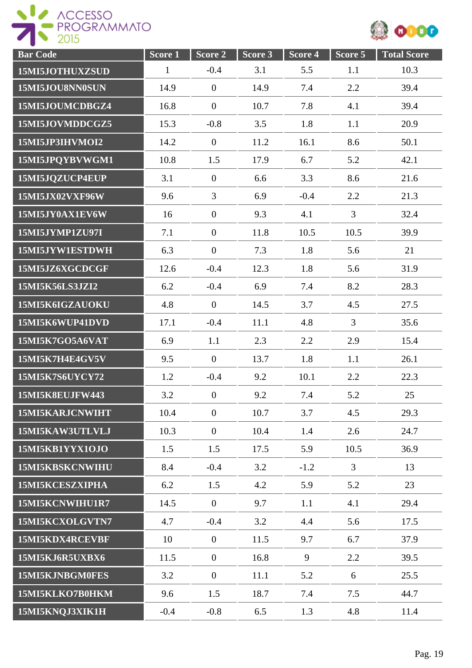

| <b>Bar Code</b>        | Score <sub>1</sub> | Score 2          | Score 3 | Score <sub>4</sub> | Score 5        | <b>Total Score</b> |
|------------------------|--------------------|------------------|---------|--------------------|----------------|--------------------|
| 15MI5JOTHUXZSUD        | $\mathbf{1}$       | $-0.4$           | 3.1     | 5.5                | 1.1            | 10.3               |
| 15MI5JOU8NN0SUN        | 14.9               | $\overline{0}$   | 14.9    | 7.4                | 2.2            | 39.4               |
| 15MI5JOUMCDBGZ4        | 16.8               | $\boldsymbol{0}$ | 10.7    | 7.8                | 4.1            | 39.4               |
| 15MI5JOVMDDCGZ5        | 15.3               | $-0.8$           | 3.5     | 1.8                | 1.1            | 20.9               |
| 15MI5JP3IHVMOI2        | 14.2               | $\overline{0}$   | 11.2    | 16.1               | 8.6            | 50.1               |
| 15MI5JPQYBVWGM1        | 10.8               | 1.5              | 17.9    | 6.7                | 5.2            | 42.1               |
| 15MI5JQZUCP4EUP        | 3.1                | $\mathbf{0}$     | 6.6     | 3.3                | 8.6            | 21.6               |
| 15MI5JX02VXF96W        | 9.6                | $\overline{3}$   | 6.9     | $-0.4$             | 2.2            | 21.3               |
| 15MI5JY0AX1EV6W        | 16                 | $\overline{0}$   | 9.3     | 4.1                | $\overline{3}$ | 32.4               |
| 15MI5JYMP1ZU97I        | 7.1                | $\mathbf{0}$     | 11.8    | 10.5               | 10.5           | 39.9               |
| 15MI5JYW1ESTDWH        | 6.3                | $\overline{0}$   | 7.3     | 1.8                | 5.6            | 21                 |
| 15MI5JZ6XGCDCGF        | 12.6               | $-0.4$           | 12.3    | 1.8                | 5.6            | 31.9               |
| 15MI5K56LS3JZI2        | 6.2                | $-0.4$           | 6.9     | 7.4                | 8.2            | 28.3               |
| 15MI5K6IGZAUOKU        | 4.8                | $\overline{0}$   | 14.5    | 3.7                | 4.5            | 27.5               |
| 15MI5K6WUP41DVD        | 17.1               | $-0.4$           | 11.1    | 4.8                | 3              | 35.6               |
| 15MI5K7GO5A6VAT        | 6.9                | 1.1              | 2.3     | 2.2                | 2.9            | 15.4               |
| 15MI5K7H4E4GV5V        | 9.5                | $\overline{0}$   | 13.7    | 1.8                | 1.1            | 26.1               |
| 15MI5K7S6UYCY72        | 1.2                | $-0.4$           | 9.2     | 10.1               | 2.2            | 22.3               |
| <b>15MI5K8EUJFW443</b> | 3.2                | $\boldsymbol{0}$ | 9.2     | 7.4                | 5.2            | 25                 |
| 15MI5KARJCNWIHT        | 10.4               | $\overline{0}$   | 10.7    | 3.7                | 4.5            | 29.3               |
| 15MI5KAW3UTLVLJ        | 10.3               | $\overline{0}$   | 10.4    | 1.4                | 2.6            | 24.7               |
| 15MI5KB1YYX1OJO        | 1.5                | 1.5              | 17.5    | 5.9                | 10.5           | 36.9               |
| 15MI5KBSKCNWIHU        | 8.4                | $-0.4$           | 3.2     | $-1.2$             | $\overline{3}$ | 13                 |
| 15MI5KCESZXIPHA        | 6.2                | 1.5              | 4.2     | 5.9                | 5.2            | 23                 |
| 15MI5KCNWIHU1R7        | 14.5               | $\overline{0}$   | 9.7     | 1.1                | 4.1            | 29.4               |
| 15MI5KCXOLGVTN7        | 4.7                | $-0.4$           | 3.2     | 4.4                | 5.6            | 17.5               |
| 15MI5KDX4RCEVBF        | 10                 | $\overline{0}$   | 11.5    | 9.7                | 6.7            | 37.9               |
| 15MI5KJ6R5UXBX6        | 11.5               | $\boldsymbol{0}$ | 16.8    | 9                  | 2.2            | 39.5               |
| 15MI5KJNBGM0FES        | 3.2                | $\mathbf{0}$     | 11.1    | 5.2                | 6              | 25.5               |
| 15MI5KLKO7B0HKM        | 9.6                | 1.5              | 18.7    | 7.4                | 7.5            | 44.7               |
| 15MI5KNQJ3XIK1H        | $-0.4$             | $-0.8$           | 6.5     | 1.3                | 4.8            | 11.4               |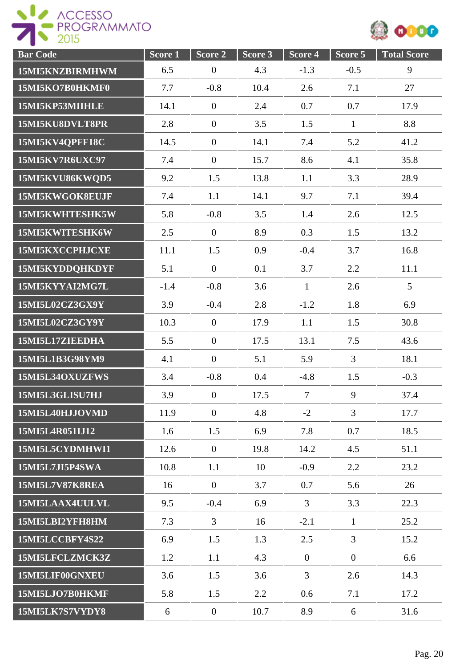



| <b>Bar Code</b> | Score 1 | Score 2          | Score 3 | Score 4        | Score 5        | <b>Total Score</b> |
|-----------------|---------|------------------|---------|----------------|----------------|--------------------|
| 15MI5KNZBIRMHWM | 6.5     | $\boldsymbol{0}$ | 4.3     | $-1.3$         | $-0.5$         | 9                  |
| 15MI5KO7B0HKMF0 | 7.7     | $-0.8$           | 10.4    | 2.6            | 7.1            | 27                 |
| 15MI5KP53MIIHLE | 14.1    | $\overline{0}$   | 2.4     | 0.7            | 0.7            | 17.9               |
| 15MI5KU8DVLT8PR | 2.8     | $\overline{0}$   | 3.5     | 1.5            | $\mathbf{1}$   | 8.8                |
| 15MI5KV4QPFF18C | 14.5    | $\boldsymbol{0}$ | 14.1    | 7.4            | 5.2            | 41.2               |
| 15MI5KV7R6UXC97 | 7.4     | $\overline{0}$   | 15.7    | 8.6            | 4.1            | 35.8               |
| 15MI5KVU86KWQD5 | 9.2     | 1.5              | 13.8    | 1.1            | 3.3            | 28.9               |
| 15MI5KWGOK8EUJF | 7.4     | 1.1              | 14.1    | 9.7            | 7.1            | 39.4               |
| 15MI5KWHTESHK5W | 5.8     | $-0.8$           | 3.5     | 1.4            | 2.6            | 12.5               |
| 15MI5KWITESHK6W | 2.5     | $\mathbf{0}$     | 8.9     | 0.3            | 1.5            | 13.2               |
| 15MI5KXCCPHJCXE | 11.1    | 1.5              | 0.9     | $-0.4$         | 3.7            | 16.8               |
| 15MI5KYDDQHKDYF | 5.1     | $\mathbf{0}$     | 0.1     | 3.7            | 2.2            | 11.1               |
| 15MI5KYYAI2MG7L | $-1.4$  | $-0.8$           | 3.6     | $\mathbf{1}$   | 2.6            | 5                  |
| 15MI5L02CZ3GX9Y | 3.9     | $-0.4$           | 2.8     | $-1.2$         | 1.8            | 6.9                |
| 15MI5L02CZ3GY9Y | 10.3    | $\overline{0}$   | 17.9    | 1.1            | 1.5            | 30.8               |
| 15MI5L17ZIEEDHA | 5.5     | $\overline{0}$   | 17.5    | 13.1           | 7.5            | 43.6               |
| 15MI5L1B3G98YM9 | 4.1     | $\overline{0}$   | 5.1     | 5.9            | $\overline{3}$ | 18.1               |
| 15MI5L34OXUZFWS | 3.4     | $-0.8$           | 0.4     | $-4.8$         | 1.5            | $-0.3$             |
| 15MI5L3GLISU7HJ | 3.9     | $\boldsymbol{0}$ | 17.5    | $\overline{7}$ | 9              | 37.4               |
| 15MI5L40HJJOVMD | 11.9    | $\mathbf{0}$     | 4.8     | $-2$           | 3              | 17.7               |
| 15MI5L4R051IJ12 | 1.6     | 1.5              | 6.9     | 7.8            | 0.7            | 18.5               |
| 15MI5L5CYDMHWI1 | 12.6    | $\overline{0}$   | 19.8    | 14.2           | 4.5            | 51.1               |
| 15MI5L7JI5P4SWA | 10.8    | 1.1              | 10      | $-0.9$         | 2.2            | 23.2               |
| 15MI5L7V87K8REA | 16      | $\overline{0}$   | 3.7     | 0.7            | 5.6            | 26                 |
| 15MI5LAAX4UULVL | 9.5     | $-0.4$           | 6.9     | 3              | 3.3            | 22.3               |
| 15MI5LBI2YFH8HM | 7.3     | $\mathfrak{Z}$   | 16      | $-2.1$         | $\mathbf{1}$   | 25.2               |
| 15MI5LCCBFY4S22 | 6.9     | 1.5              | 1.3     | 2.5            | $\overline{3}$ | 15.2               |
| 15MI5LFCLZMCK3Z | 1.2     | 1.1              | 4.3     | $\overline{0}$ | $\overline{0}$ | 6.6                |
| 15MI5LIF00GNXEU | 3.6     | 1.5              | 3.6     | $\mathfrak{Z}$ | 2.6            | 14.3               |
| 15MI5LJO7B0HKMF | 5.8     | 1.5              | 2.2     | 0.6            | 7.1            | 17.2               |
| 15MI5LK7S7VYDY8 | 6       | $\boldsymbol{0}$ | 10.7    | 8.9            | 6              | 31.6               |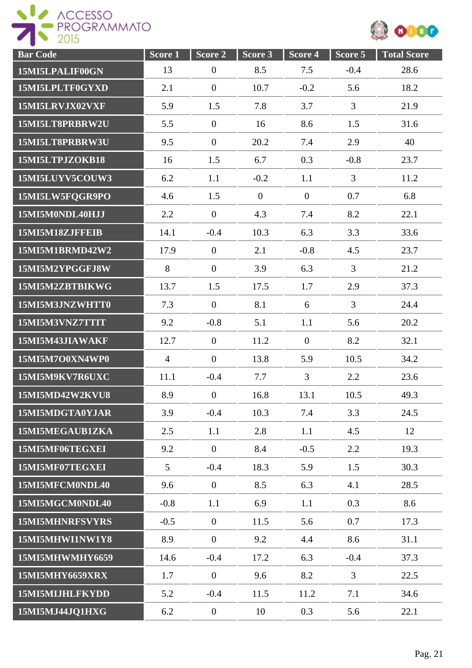

| <b>Bar Code</b>        | Score <sub>1</sub> | Score 2          | Score 3        | Score 4        | Score 5        | <b>Total Score</b> |
|------------------------|--------------------|------------------|----------------|----------------|----------------|--------------------|
| 15MI5LPALIF00GN        | 13                 | $\boldsymbol{0}$ | 8.5            | 7.5            | $-0.4$         | 28.6               |
| 15MI5LPLTF0GYXD        | 2.1                | $\boldsymbol{0}$ | 10.7           | $-0.2$         | 5.6            | 18.2               |
| 15MI5LRVJX02VXF        | 5.9                | 1.5              | 7.8            | 3.7            | 3              | 21.9               |
| 15MI5LT8PRBRW2U        | 5.5                | $\overline{0}$   | 16             | 8.6            | 1.5            | 31.6               |
| 15MI5LT8PRBRW3U        | 9.5                | $\overline{0}$   | 20.2           | 7.4            | 2.9            | 40                 |
| 15MI5LTPJZOKB18        | 16                 | 1.5              | 6.7            | 0.3            | $-0.8$         | 23.7               |
| 15MI5LUYV5COUW3        | 6.2                | 1.1              | $-0.2$         | 1.1            | $\overline{3}$ | 11.2               |
| 15MI5LW5FQGR9PO        | 4.6                | 1.5              | $\overline{0}$ | $\mathbf{0}$   | 0.7            | 6.8                |
| 15MI5M0NDL40HJJ        | 2.2                | $\boldsymbol{0}$ | 4.3            | 7.4            | 8.2            | 22.1               |
| 15MI5M18ZJFFEIB        | 14.1               | $-0.4$           | 10.3           | 6.3            | 3.3            | 33.6               |
| 15MI5M1BRMD42W2        | 17.9               | $\boldsymbol{0}$ | 2.1            | $-0.8$         | 4.5            | 23.7               |
| 15MI5M2YPGGFJ8W        | 8                  | $\boldsymbol{0}$ | 3.9            | 6.3            | $\overline{3}$ | 21.2               |
| 15MI5M2ZBTBIKWG        | 13.7               | 1.5              | 17.5           | 1.7            | 2.9            | 37.3               |
| 15MI5M3JNZWHTT0        | 7.3                | $\boldsymbol{0}$ | 8.1            | 6              | 3              | 24.4               |
| 15MI5M3VNZ7TTIT        | 9.2                | $-0.8$           | 5.1            | 1.1            | 5.6            | 20.2               |
| 15MI5M43JIAWAKF        | 12.7               | $\overline{0}$   | 11.2           | $\overline{0}$ | 8.2            | 32.1               |
| 15MI5M7O0XN4WP0        | $\overline{4}$     | $\overline{0}$   | 13.8           | 5.9            | 10.5           | 34.2               |
| 15MI5M9KV7R6UXC        | 11.1               | $-0.4$           | 7.7            | $\overline{3}$ | 2.2            | 23.6               |
| 15MI5MD42W2KVU8        | 8.9                | $\overline{0}$   | 16.8           | 13.1           | 10.5           | 49.3               |
| 15MI5MDGTA0YJAR        | 3.9                | $-0.4$           | 10.3           | 7.4            | 3.3            | 24.5               |
| 15MI5MEGAUB1ZKA        | 2.5                | 1.1              | 2.8            | 1.1            | 4.5            | 12                 |
| 15MI5MF06TEGXEI        | 9.2                | $\mathbf{0}$     | 8.4            | $-0.5$         | 2.2            | 19.3               |
| 15MI5MF07TEGXEI        | $5\overline{)}$    | $-0.4$           | 18.3           | 5.9            | 1.5            | 30.3               |
| 15MI5MFCM0NDL40        | 9.6                | $\overline{0}$   | 8.5            | 6.3            | 4.1            | 28.5               |
| 15MI5MGCM0NDL40        | $-0.8$             | 1.1              | 6.9            | 1.1            | 0.3            | 8.6                |
| 15MI5MHNRFSVYRS        | $-0.5$             | $\mathbf{0}$     | 11.5           | 5.6            | 0.7            | 17.3               |
| 15MI5MHWI1NW1Y8        | 8.9                | $\mathbf{0}$     | 9.2            | 4.4            | 8.6            | 31.1               |
| 15MI5MHWMHY6659        | 14.6               | $-0.4$           | 17.2           | 6.3            | $-0.4$         | 37.3               |
| <b>15MI5MHY6659XRX</b> | 1.7                | $\overline{0}$   | 9.6            | 8.2            | 3              | 22.5               |
| 15MI5MIJHLFKYDD        | 5.2                | $-0.4$           | 11.5           | 11.2           | 7.1            | 34.6               |
| 15MI5MJ44JQ1HXG        | 6.2                | $\boldsymbol{0}$ | 10             | 0.3            | 5.6            | 22.1               |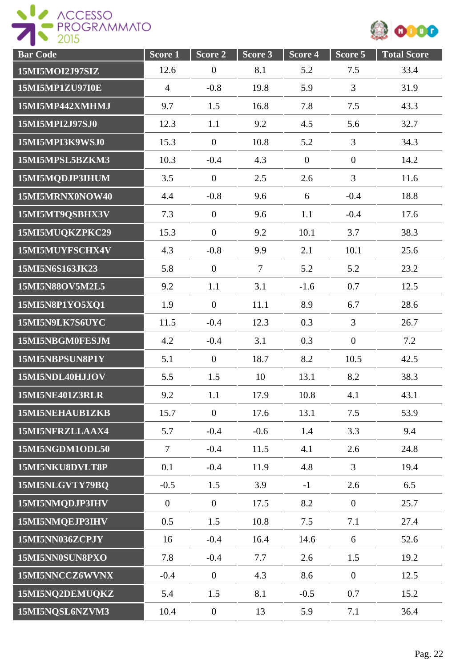

| <b>Bar Code</b> | Score <sub>1</sub> | Score 2          | Score 3        | Score 4      | Score 5          | <b>Total Score</b> |
|-----------------|--------------------|------------------|----------------|--------------|------------------|--------------------|
| 15MI5MOI2J97SIZ | 12.6               | $\boldsymbol{0}$ | 8.1            | 5.2          | 7.5              | 33.4               |
| 15MI5MP1ZU97I0E | $\overline{4}$     | $-0.8$           | 19.8           | 5.9          | 3                | 31.9               |
| 15MI5MP442XMHMJ | 9.7                | 1.5              | 16.8           | 7.8          | 7.5              | 43.3               |
| 15MI5MPI2J97SJ0 | 12.3               | 1.1              | 9.2            | 4.5          | 5.6              | 32.7               |
| 15MI5MPI3K9WSJ0 | 15.3               | $\overline{0}$   | 10.8           | 5.2          | $\mathfrak{Z}$   | 34.3               |
| 15MI5MPSL5BZKM3 | 10.3               | $-0.4$           | 4.3            | $\mathbf{0}$ | $\overline{0}$   | 14.2               |
| 15MI5MQDJP3IHUM | 3.5                | $\overline{0}$   | 2.5            | 2.6          | 3                | 11.6               |
| 15MI5MRNX0NOW40 | 4.4                | $-0.8$           | 9.6            | 6            | $-0.4$           | 18.8               |
| 15MI5MT9QSBHX3V | 7.3                | $\overline{0}$   | 9.6            | 1.1          | $-0.4$           | 17.6               |
| 15MI5MUQKZPKC29 | 15.3               | $\overline{0}$   | 9.2            | 10.1         | 3.7              | 38.3               |
| 15MI5MUYFSCHX4V | 4.3                | $-0.8$           | 9.9            | 2.1          | 10.1             | 25.6               |
| 15MI5N6S163JK23 | 5.8                | $\overline{0}$   | $\overline{7}$ | 5.2          | 5.2              | 23.2               |
| 15MI5N88OV5M2L5 | 9.2                | 1.1              | 3.1            | $-1.6$       | 0.7              | 12.5               |
| 15MI5N8P1YO5XQ1 | 1.9                | $\boldsymbol{0}$ | 11.1           | 8.9          | 6.7              | 28.6               |
| 15MI5N9LK7S6UYC | 11.5               | $-0.4$           | 12.3           | 0.3          | 3                | 26.7               |
| 15MI5NBGM0FESJM | 4.2                | $-0.4$           | 3.1            | 0.3          | $\overline{0}$   | 7.2                |
| 15MI5NBPSUN8P1Y | 5.1                | $\overline{0}$   | 18.7           | 8.2          | 10.5             | 42.5               |
| 15MI5NDL40HJJOV | 5.5                | 1.5              | 10             | 13.1         | 8.2              | 38.3               |
| 15MI5NE401Z3RLR | 9.2                | 1.1              | 17.9           | 10.8         | 4.1              | 43.1               |
| 15MI5NEHAUB1ZKB | 15.7               | $\overline{0}$   | 17.6           | 13.1         | 7.5              | 53.9               |
| 15MI5NFRZLLAAX4 | 5.7                | $-0.4$           | $-0.6$         | 1.4          | 3.3              | 9.4                |
| 15MI5NGDM1ODL50 | $\overline{7}$     | $-0.4$           | 11.5           | 4.1          | 2.6              | 24.8               |
| 15MI5NKU8DVLT8P | 0.1                | $-0.4$           | 11.9           | 4.8          | $\overline{3}$   | 19.4               |
| 15MI5NLGVTY79BQ | $-0.5$             | 1.5              | 3.9            | $-1$         | 2.6              | 6.5                |
| 15MI5NMQDJP3IHV | $\overline{0}$     | $\overline{0}$   | 17.5           | 8.2          | $\overline{0}$   | 25.7               |
| 15MI5NMQEJP3IHV | 0.5                | 1.5              | 10.8           | 7.5          | 7.1              | 27.4               |
| 15MI5NN036ZCPJY | 16                 | $-0.4$           | 16.4           | 14.6         | 6                | 52.6               |
| 15MI5NN0SUN8PXO | 7.8                | $-0.4$           | 7.7            | 2.6          | 1.5              | 19.2               |
| 15MI5NNCCZ6WVNX | $-0.4$             | $\overline{0}$   | 4.3            | 8.6          | $\boldsymbol{0}$ | 12.5               |
| 15MI5NQ2DEMUQKZ | 5.4                | 1.5              | 8.1            | $-0.5$       | 0.7              | 15.2               |
| 15MI5NQSL6NZVM3 | 10.4               | $\boldsymbol{0}$ | 13             | 5.9          | 7.1              | 36.4               |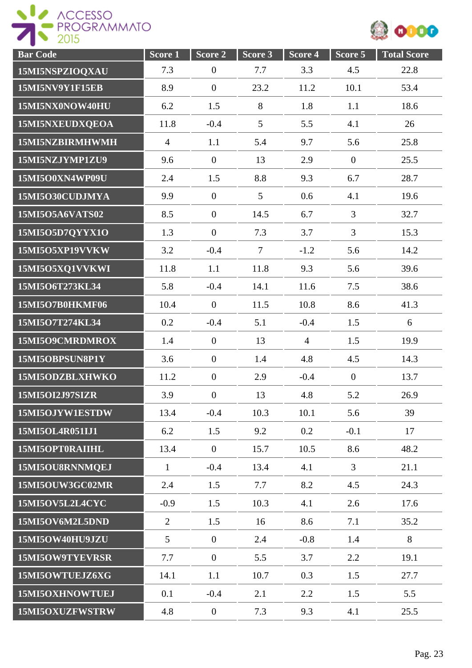

| <b>Bar Code</b> | Score <sub>1</sub> | Score 2          | Score 3 | Score 4        | Score 5        | <b>Total Score</b> |
|-----------------|--------------------|------------------|---------|----------------|----------------|--------------------|
| 15MI5NSPZIOQXAU | 7.3                | $\boldsymbol{0}$ | 7.7     | 3.3            | 4.5            | 22.8               |
| 15MI5NV9Y1F15EB | 8.9                | $\overline{0}$   | 23.2    | 11.2           | 10.1           | 53.4               |
| 15MI5NX0NOW40HU | 6.2                | 1.5              | $8\,$   | 1.8            | 1.1            | 18.6               |
| 15MI5NXEUDXQEOA | 11.8               | $-0.4$           | 5       | 5.5            | 4.1            | 26                 |
| 15MI5NZBIRMHWMH | $\overline{4}$     | 1.1              | 5.4     | 9.7            | 5.6            | 25.8               |
| 15MI5NZJYMP1ZU9 | 9.6                | $\overline{0}$   | 13      | 2.9            | $\overline{0}$ | 25.5               |
| 15MI5O0XN4WP09U | 2.4                | 1.5              | 8.8     | 9.3            | 6.7            | 28.7               |
| 15MI5O30CUDJMYA | 9.9                | $\mathbf{0}$     | 5       | 0.6            | 4.1            | 19.6               |
| 15MI5O5A6VATS02 | 8.5                | $\overline{0}$   | 14.5    | 6.7            | $\overline{3}$ | 32.7               |
| 15MI5O5D7QYYX1O | 1.3                | $\overline{0}$   | 7.3     | 3.7            | 3              | 15.3               |
| 15MI5O5XP19VVKW | 3.2                | $-0.4$           | $\tau$  | $-1.2$         | 5.6            | 14.2               |
| 15MI5O5XQ1VVKWI | 11.8               | 1.1              | 11.8    | 9.3            | 5.6            | 39.6               |
| 15MI5O6T273KL34 | 5.8                | $-0.4$           | 14.1    | 11.6           | 7.5            | 38.6               |
| 15MI5O7B0HKMF06 | 10.4               | $\overline{0}$   | 11.5    | 10.8           | 8.6            | 41.3               |
| 15MI5O7T274KL34 | 0.2                | $-0.4$           | 5.1     | $-0.4$         | 1.5            | 6                  |
| 15MI5O9CMRDMROX | 1.4                | $\overline{0}$   | 13      | $\overline{4}$ | 1.5            | 19.9               |
| 15MI5OBPSUN8P1Y | 3.6                | $\overline{0}$   | 1.4     | 4.8            | 4.5            | 14.3               |
| 15MI5ODZBLXHWKO | 11.2               | $\overline{0}$   | 2.9     | $-0.4$         | $\overline{0}$ | 13.7               |
| 15MI5OI2J97SIZR | 3.9                | $\boldsymbol{0}$ | 13      | 4.8            | 5.2            | 26.9               |
| 15MI5OJYW1ESTDW | 13.4               | $-0.4$           | 10.3    | 10.1           | 5.6            | 39                 |
| 15MI5OL4R051IJ1 | 6.2                | 1.5              | 9.2     | 0.2            | $-0.1$         | 17                 |
| 15MI5OPT0RAIIHL | 13.4               | $\mathbf{0}$     | 15.7    | 10.5           | 8.6            | 48.2               |
| 15MI5OU8RNNMQEJ | $\mathbf{1}$       | $-0.4$           | 13.4    | 4.1            | $\overline{3}$ | 21.1               |
| 15MI5OUW3GC02MR | 2.4                | 1.5              | 7.7     | 8.2            | 4.5            | 24.3               |
| 15MI5OV5L2L4CYC | $-0.9$             | 1.5              | 10.3    | 4.1            | 2.6            | 17.6               |
| 15MI5OV6M2L5DND | 2                  | 1.5              | 16      | 8.6            | 7.1            | 35.2               |
| 15MI5OW40HU9JZU | $5\overline{)}$    | $\overline{0}$   | 2.4     | $-0.8$         | 1.4            | 8                  |
| 15MI5OW9TYEVRSR | 7.7                | $\boldsymbol{0}$ | 5.5     | 3.7            | 2.2            | 19.1               |
| 15MI5OWTUEJZ6XG | 14.1               | 1.1              | 10.7    | 0.3            | 1.5            | 27.7               |
| 15MI5OXHNOWTUEJ | 0.1                | $-0.4$           | 2.1     | 2.2            | 1.5            | 5.5                |
| 15MI5OXUZFWSTRW | 4.8                | $\boldsymbol{0}$ | 7.3     | 9.3            | 4.1            | 25.5               |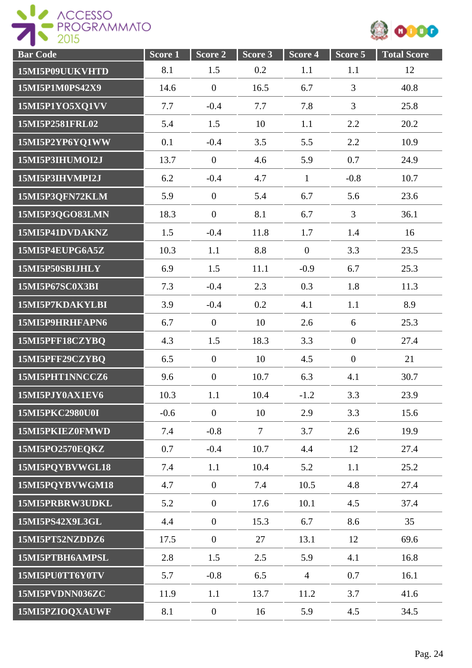



| <b>Bar Code</b> | Score <sub>1</sub> | Score 2          | Score 3 | Score 4        | Score 5        | <b>Total Score</b> |
|-----------------|--------------------|------------------|---------|----------------|----------------|--------------------|
| 15MI5P09UUKVHTD | 8.1                | 1.5              | 0.2     | 1.1            | 1.1            | 12                 |
| 15MI5P1M0PS42X9 | 14.6               | $\overline{0}$   | 16.5    | 6.7            | 3              | 40.8               |
| 15MI5P1YO5XQ1VV | 7.7                | $-0.4$           | 7.7     | 7.8            | $\overline{3}$ | 25.8               |
| 15MI5P2581FRL02 | 5.4                | 1.5              | 10      | 1.1            | 2.2            | 20.2               |
| 15MI5P2YP6YQ1WW | 0.1                | $-0.4$           | 3.5     | 5.5            | 2.2            | 10.9               |
| 15MI5P3IHUMOI2J | 13.7               | $\overline{0}$   | 4.6     | 5.9            | 0.7            | 24.9               |
| 15MI5P3IHVMPI2J | 6.2                | $-0.4$           | 4.7     | $\mathbf{1}$   | $-0.8$         | 10.7               |
| 15MI5P3QFN72KLM | 5.9                | $\mathbf{0}$     | 5.4     | 6.7            | 5.6            | 23.6               |
| 15MI5P3QGO83LMN | 18.3               | $\overline{0}$   | 8.1     | 6.7            | $\mathfrak{Z}$ | 36.1               |
| 15MI5P41DVDAKNZ | 1.5                | $-0.4$           | 11.8    | 1.7            | 1.4            | 16                 |
| 15MI5P4EUPG6A5Z | 10.3               | 1.1              | 8.8     | $\overline{0}$ | 3.3            | 23.5               |
| 15MI5P50SBIJHLY | 6.9                | 1.5              | 11.1    | $-0.9$         | 6.7            | 25.3               |
| 15MI5P67SC0X3BI | 7.3                | $-0.4$           | 2.3     | 0.3            | 1.8            | 11.3               |
| 15MI5P7KDAKYLBI | 3.9                | $-0.4$           | 0.2     | 4.1            | 1.1            | 8.9                |
| 15MI5P9HRHFAPN6 | 6.7                | $\overline{0}$   | 10      | 2.6            | 6              | 25.3               |
| 15MI5PFF18CZYBQ | 4.3                | 1.5              | 18.3    | 3.3            | $\overline{0}$ | 27.4               |
| 15MI5PFF29CZYBQ | 6.5                | $\overline{0}$   | 10      | 4.5            | $\overline{0}$ | 21                 |
| 15MI5PHT1NNCCZ6 | 9.6                | $\mathbf{0}$     | 10.7    | 6.3            | 4.1            | 30.7               |
| 15MI5PJY0AX1EV6 | 10.3               | 1.1              | 10.4    | $-1.2$         | 3.3            | 23.9               |
| 15MI5PKC2980U0I | $-0.6$             | $\theta$         | 10      | 2.9            | 3.3            | 15.6               |
| 15MI5PKIEZ0FMWD | 7.4                | $-0.8$           | $\tau$  | 3.7            | 2.6            | 19.9               |
| 15MI5PO2570EQKZ | 0.7                | $-0.4$           | 10.7    | 4.4            | 12             | 27.4               |
| 15MI5PQYBVWGL18 | 7.4                | 1.1              | 10.4    | 5.2            | 1.1            | 25.2               |
| 15MI5PQYBVWGM18 | 4.7                | $\overline{0}$   | 7.4     | 10.5           | 4.8            | 27.4               |
| 15MI5PRBRW3UDKL | 5.2                | $\overline{0}$   | 17.6    | 10.1           | 4.5            | 37.4               |
| 15MI5PS42X9L3GL | 4.4                | $\boldsymbol{0}$ | 15.3    | 6.7            | 8.6            | 35                 |
| 15MI5PT52NZDDZ6 | 17.5               | $\overline{0}$   | 27      | 13.1           | 12             | 69.6               |
| 15MI5PTBH6AMPSL | 2.8                | 1.5              | 2.5     | 5.9            | 4.1            | 16.8               |
| 15MI5PU0TT6Y0TV | 5.7                | $-0.8$           | 6.5     | $\overline{4}$ | 0.7            | 16.1               |
| 15MI5PVDNN036ZC | 11.9               | 1.1              | 13.7    | 11.2           | 3.7            | 41.6               |
| 15MI5PZIOQXAUWF | 8.1                | $\boldsymbol{0}$ | 16      | 5.9            | 4.5            | 34.5               |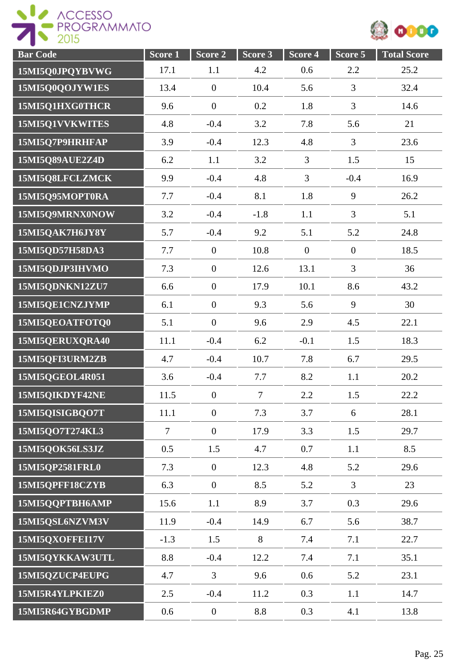



| <b>Bar Code</b> | Score 1        | Score 2          | Score 3 | Score 4        | Score 5        | <b>Total Score</b> |
|-----------------|----------------|------------------|---------|----------------|----------------|--------------------|
| 15MI5Q0JPQYBVWG | 17.1           | 1.1              | 4.2     | 0.6            | 2.2            | 25.2               |
| 15MI5Q0QOJYW1ES | 13.4           | $\boldsymbol{0}$ | 10.4    | 5.6            | 3              | 32.4               |
| 15MI5Q1HXG0THCR | 9.6            | $\boldsymbol{0}$ | 0.2     | 1.8            | 3              | 14.6               |
| 15MI5Q1VVKWITES | 4.8            | $-0.4$           | 3.2     | 7.8            | 5.6            | 21                 |
| 15MI5Q7P9HRHFAP | 3.9            | $-0.4$           | 12.3    | 4.8            | 3              | 23.6               |
| 15MI5Q89AUE2Z4D | 6.2            | 1.1              | 3.2     | 3              | 1.5            | 15                 |
| 15MI5Q8LFCLZMCK | 9.9            | $-0.4$           | 4.8     | $\overline{3}$ | $-0.4$         | 16.9               |
| 15MI5Q95MOPT0RA | 7.7            | $-0.4$           | 8.1     | 1.8            | 9              | 26.2               |
| 15MI5Q9MRNX0NOW | 3.2            | $-0.4$           | $-1.8$  | 1.1            | $\overline{3}$ | 5.1                |
| 15MI5QAK7H6JY8Y | 5.7            | $-0.4$           | 9.2     | 5.1            | 5.2            | 24.8               |
| 15MI5QD57H58DA3 | 7.7            | $\mathbf{0}$     | 10.8    | $\overline{0}$ | $\overline{0}$ | 18.5               |
| 15MI5QDJP3IHVMO | 7.3            | $\boldsymbol{0}$ | 12.6    | 13.1           | 3              | 36                 |
| 15MI5QDNKN12ZU7 | 6.6            | $\boldsymbol{0}$ | 17.9    | 10.1           | 8.6            | 43.2               |
| 15MI5QE1CNZJYMP | 6.1            | $\boldsymbol{0}$ | 9.3     | 5.6            | 9              | 30                 |
| 15MI5QEOATFOTQ0 | 5.1            | $\boldsymbol{0}$ | 9.6     | 2.9            | 4.5            | 22.1               |
| 15MI5QERUXQRA40 | 11.1           | $-0.4$           | 6.2     | $-0.1$         | 1.5            | 18.3               |
| 15MI5QFI3URM2ZB | 4.7            | $-0.4$           | 10.7    | 7.8            | 6.7            | 29.5               |
| 15MI5QGEOL4R051 | 3.6            | $-0.4$           | 7.7     | 8.2            | 1.1            | 20.2               |
| 15MI5QIKDYF42NE | 11.5           | $\boldsymbol{0}$ | $\tau$  | 2.2            | 1.5            | 22.2               |
| 15MI5QISIGBQ07T | 11.1           | $\mathbf{0}$     | 7.3     | 3.7            | 6              | 28.1               |
| 15MI5QO7T274KL3 | $\overline{7}$ | $\overline{0}$   | 17.9    | 3.3            | 1.5            | 29.7               |
| 15MI5QOK56LS3JZ | 0.5            | 1.5              | 4.7     | 0.7            | 1.1            | 8.5                |
| 15MI5QP2581FRL0 | 7.3            | $\overline{0}$   | 12.3    | 4.8            | 5.2            | 29.6               |
| 15MI5QPFF18CZYB | 6.3            | $\overline{0}$   | 8.5     | 5.2            | $\overline{3}$ | 23                 |
| 15MI5QQPTBH6AMP | 15.6           | 1.1              | 8.9     | 3.7            | 0.3            | 29.6               |
| 15MI5QSL6NZVM3V | 11.9           | $-0.4$           | 14.9    | 6.7            | 5.6            | 38.7               |
| 15MI5QXOFFEI17V | $-1.3$         | 1.5              | 8       | 7.4            | 7.1            | 22.7               |
| 15MI5QYKKAW3UTL | 8.8            | $-0.4$           | 12.2    | 7.4            | 7.1            | 35.1               |
| 15MI5QZUCP4EUPG | 4.7            | $\mathfrak{Z}$   | 9.6     | 0.6            | 5.2            | 23.1               |
| 15MI5R4YLPKIEZ0 | 2.5            | $-0.4$           | 11.2    | 0.3            | 1.1            | 14.7               |
| 15MI5R64GYBGDMP | 0.6            | $\boldsymbol{0}$ | 8.8     | 0.3            | 4.1            | 13.8               |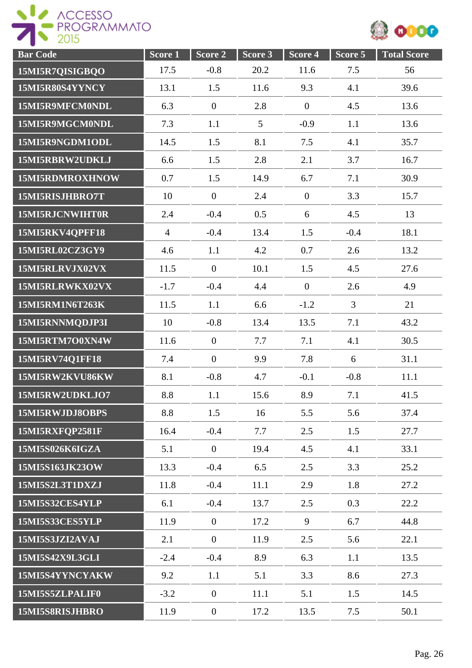

| <b>Bar Code</b> | Score 1        | Score 2          | Score 3         | Score 4        | Score 5        | <b>Total Score</b> |
|-----------------|----------------|------------------|-----------------|----------------|----------------|--------------------|
| 15MI5R7QISIGBQO | 17.5           | $-0.8$           | 20.2            | 11.6           | 7.5            | 56                 |
| 15MI5R80S4YYNCY | 13.1           | 1.5              | 11.6            | 9.3            | 4.1            | 39.6               |
| 15MI5R9MFCM0NDL | 6.3            | $\mathbf{0}$     | 2.8             | $\overline{0}$ | 4.5            | 13.6               |
| 15MI5R9MGCM0NDL | 7.3            | 1.1              | $5\overline{)}$ | $-0.9$         | 1.1            | 13.6               |
| 15MI5R9NGDM1ODL | 14.5           | 1.5              | 8.1             | 7.5            | 4.1            | 35.7               |
| 15MI5RBRW2UDKLJ | 6.6            | 1.5              | 2.8             | 2.1            | 3.7            | 16.7               |
| 15MI5RDMROXHNOW | 0.7            | 1.5              | 14.9            | 6.7            | 7.1            | 30.9               |
| 15MI5RISJHBRO7T | 10             | $\overline{0}$   | 2.4             | $\overline{0}$ | 3.3            | 15.7               |
| 15MI5RJCNWIHT0R | 2.4            | $-0.4$           | 0.5             | 6              | 4.5            | 13                 |
| 15MI5RKV4QPFF18 | $\overline{4}$ | $-0.4$           | 13.4            | 1.5            | $-0.4$         | 18.1               |
| 15MI5RL02CZ3GY9 | 4.6            | 1.1              | 4.2             | 0.7            | 2.6            | 13.2               |
| 15MI5RLRVJX02VX | 11.5           | $\overline{0}$   | 10.1            | 1.5            | 4.5            | 27.6               |
| 15MI5RLRWKX02VX | $-1.7$         | $-0.4$           | 4.4             | $\overline{0}$ | 2.6            | 4.9                |
| 15MI5RM1N6T263K | 11.5           | 1.1              | 6.6             | $-1.2$         | $\overline{3}$ | 21                 |
| 15MI5RNNMQDJP3I | 10             | $-0.8$           | 13.4            | 13.5           | 7.1            | 43.2               |
| 15MI5RTM7O0XN4W | 11.6           | $\overline{0}$   | 7.7             | 7.1            | 4.1            | 30.5               |
| 15MI5RV74Q1FF18 | 7.4            | $\overline{0}$   | 9.9             | 7.8            | 6              | 31.1               |
| 15MI5RW2KVU86KW | 8.1            | $-0.8$           | 4.7             | $-0.1$         | $-0.8$         | 11.1               |
| 15MI5RW2UDKLJO7 | 8.8            | 1.1              | 15.6            | 8.9            | 7.1            | 41.5               |
| 15MI5RWJDJ8OBPS | 8.8            | 1.5              | 16              | 5.5            | 5.6            | 37.4               |
| 15MI5RXFQP2581F | 16.4           | $-0.4$           | 7.7             | 2.5            | 1.5            | 27.7               |
| 15MI5S026K6IGZA | 5.1            | $\mathbf{0}$     | 19.4            | 4.5            | 4.1            | 33.1               |
| 15MI5S163JK23OW | 13.3           | $-0.4$           | 6.5             | 2.5            | 3.3            | 25.2               |
| 15MI5S2L3T1DXZJ | 11.8           | $-0.4$           | 11.1            | 2.9            | 1.8            | 27.2               |
| 15MI5S32CES4YLP | 6.1            | $-0.4$           | 13.7            | 2.5            | 0.3            | 22.2               |
| 15MI5S33CES5YLP | 11.9           | $\mathbf{0}$     | 17.2            | 9              | 6.7            | 44.8               |
| 15MI5S3JZI2AVAJ | 2.1            | $\overline{0}$   | 11.9            | 2.5            | 5.6            | 22.1               |
| 15MI5S42X9L3GLI | $-2.4$         | $-0.4$           | 8.9             | 6.3            | 1.1            | 13.5               |
| 15MI5S4YYNCYAKW | 9.2            | 1.1              | 5.1             | 3.3            | 8.6            | 27.3               |
| 15MI5S5ZLPALIF0 | $-3.2$         | $\mathbf{0}$     | 11.1            | 5.1            | 1.5            | 14.5               |
| 15MI5S8RISJHBRO | 11.9           | $\boldsymbol{0}$ | 17.2            | 13.5           | 7.5            | 50.1               |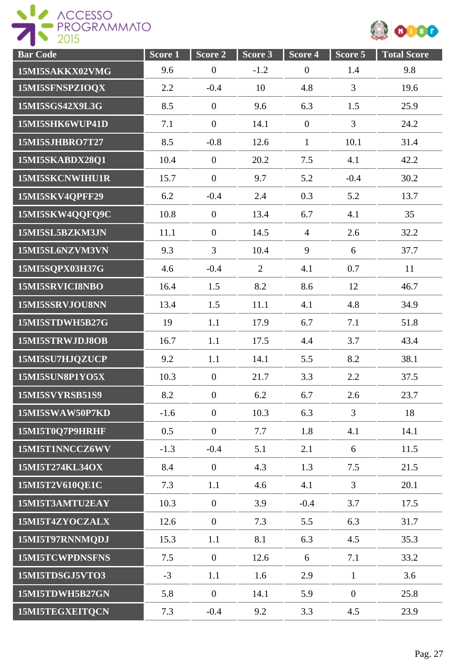



| <b>Bar Code</b> | Score 1 | Score 2          | Score 3        | Score 4          | Score 5        | <b>Total Score</b> |
|-----------------|---------|------------------|----------------|------------------|----------------|--------------------|
| 15MI5SAKKX02VMG | 9.6     | $\boldsymbol{0}$ | $-1.2$         | $\boldsymbol{0}$ | 1.4            | 9.8                |
| 15MI5SFNSPZIOQX | 2.2     | $-0.4$           | 10             | 4.8              | 3              | 19.6               |
| 15MI5SGS42X9L3G | 8.5     | $\boldsymbol{0}$ | 9.6            | 6.3              | 1.5            | 25.9               |
| 15MI5SHK6WUP41D | 7.1     | $\overline{0}$   | 14.1           | $\overline{0}$   | $\overline{3}$ | 24.2               |
| 15MI5SJHBRO7T27 | 8.5     | $-0.8$           | 12.6           | $\mathbf{1}$     | 10.1           | 31.4               |
| 15MI5SKABDX28Q1 | 10.4    | $\boldsymbol{0}$ | 20.2           | 7.5              | 4.1            | 42.2               |
| 15MI5SKCNWIHU1R | 15.7    | $\overline{0}$   | 9.7            | 5.2              | $-0.4$         | 30.2               |
| 15MI5SKV4QPFF29 | 6.2     | $-0.4$           | 2.4            | 0.3              | 5.2            | 13.7               |
| 15MI5SKW4QQFQ9C | 10.8    | $\overline{0}$   | 13.4           | 6.7              | 4.1            | 35                 |
| 15MI5SL5BZKM3JN | 11.1    | $\overline{0}$   | 14.5           | $\overline{4}$   | 2.6            | 32.2               |
| 15MI5SL6NZVM3VN | 9.3     | $\overline{3}$   | 10.4           | 9                | 6              | 37.7               |
| 15MI5SQPX03H37G | 4.6     | $-0.4$           | $\overline{2}$ | 4.1              | 0.7            | 11                 |
| 15MI5SRVICI8NBO | 16.4    | 1.5              | 8.2            | 8.6              | 12             | 46.7               |
| 15MI5SSRVJOU8NN | 13.4    | 1.5              | 11.1           | 4.1              | 4.8            | 34.9               |
| 15MI5STDWH5B27G | 19      | 1.1              | 17.9           | 6.7              | 7.1            | 51.8               |
| 15MI5STRWJDJ8OB | 16.7    | 1.1              | 17.5           | 4.4              | 3.7            | 43.4               |
| 15MI5SU7HJQZUCP | 9.2     | 1.1              | 14.1           | 5.5              | 8.2            | 38.1               |
| 15MI5SUN8P1YO5X | 10.3    | $\mathbf{0}$     | 21.7           | 3.3              | 2.2            | 37.5               |
| 15MI5SVYRSB51S9 | 8.2     | $\boldsymbol{0}$ | 6.2            | 6.7              | 2.6            | 23.7               |
| 15MI5SWAW50P7KD | $-1.6$  | $\overline{0}$   | 10.3           | 6.3              | 3              | 18                 |
| 15MI5T0O7P9HRHF | 0.5     | $\overline{0}$   | 7.7            | 1.8              | 4.1            | 14.1               |
| 15MI5T1NNCCZ6WV | $-1.3$  | $-0.4$           | 5.1            | 2.1              | 6              | 11.5               |
| 15MI5T274KL34OX | 8.4     | $\overline{0}$   | 4.3            | 1.3              | 7.5            | 21.5               |
| 15MI5T2V610QE1C | 7.3     | 1.1              | 4.6            | 4.1              | $\overline{3}$ | 20.1               |
| 15MI5T3AMTU2EAY | 10.3    | $\overline{0}$   | 3.9            | $-0.4$           | 3.7            | 17.5               |
| 15MI5T4ZYOCZALX | 12.6    | $\overline{0}$   | 7.3            | 5.5              | 6.3            | 31.7               |
| 15MI5T97RNNMQDJ | 15.3    | 1.1              | 8.1            | 6.3              | 4.5            | 35.3               |
| 15MI5TCWPDNSFNS | 7.5     | $\boldsymbol{0}$ | 12.6           | 6                | 7.1            | 33.2               |
| 15MI5TDSGJ5VTO3 | $-3$    | 1.1              | 1.6            | 2.9              | $\mathbf{1}$   | 3.6                |
| 15MI5TDWH5B27GN | 5.8     | $\overline{0}$   | 14.1           | 5.9              | $\overline{0}$ | 25.8               |
| 15MI5TEGXEITQCN | 7.3     | $-0.4$           | 9.2            | 3.3              | 4.5            | 23.9               |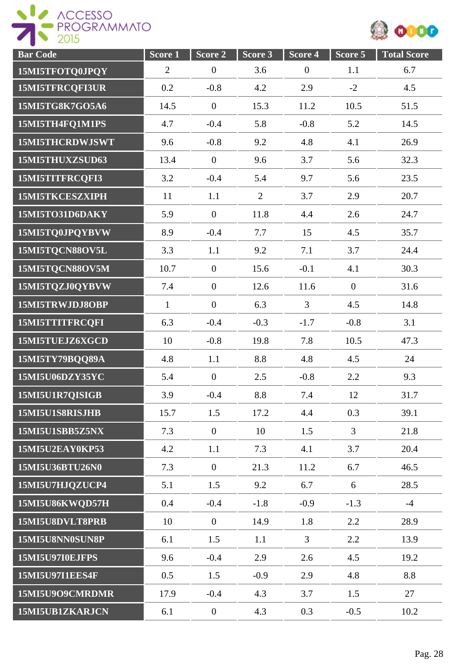

| <b>Bar Code</b>        | Score 1        | Score 2          | Score 3        | Score 4          | Score 5        | <b>Total Score</b> |
|------------------------|----------------|------------------|----------------|------------------|----------------|--------------------|
| 15MI5TFOTQ0JPQY        | $\overline{2}$ | $\boldsymbol{0}$ | 3.6            | $\boldsymbol{0}$ | 1.1            | 6.7                |
| 15MI5TFRCQFI3UR        | 0.2            | $-0.8$           | 4.2            | 2.9              | $-2$           | 4.5                |
| 15MI5TG8K7GO5A6        | 14.5           | $\boldsymbol{0}$ | 15.3           | 11.2             | 10.5           | 51.5               |
| 15MI5TH4FQ1M1PS        | 4.7            | $-0.4$           | 5.8            | $-0.8$           | 5.2            | 14.5               |
| 15MI5THCRDWJSWT        | 9.6            | $-0.8$           | 9.2            | 4.8              | 4.1            | 26.9               |
| 15MI5THUXZSUD63        | 13.4           | $\boldsymbol{0}$ | 9.6            | 3.7              | 5.6            | 32.3               |
| 15MI5TITFRCQFI3        | 3.2            | $-0.4$           | 5.4            | 9.7              | 5.6            | 23.5               |
| 15MI5TKCESZXIPH        | 11             | 1.1              | $\overline{2}$ | 3.7              | 2.9            | 20.7               |
| 15MI5TO31D6DAKY        | 5.9            | $\theta$         | 11.8           | 4.4              | 2.6            | 24.7               |
| 15MI5TQ0JPQYBVW        | 8.9            | $-0.4$           | 7.7            | 15               | 4.5            | 35.7               |
| 15MI5TQCN88OV5L        | 3.3            | 1.1              | 9.2            | 7.1              | 3.7            | 24.4               |
| 15MI5TQCN88OV5M        | 10.7           | $\overline{0}$   | 15.6           | $-0.1$           | 4.1            | 30.3               |
| 15MI5TQZJ0QYBVW        | 7.4            | $\overline{0}$   | 12.6           | 11.6             | $\overline{0}$ | 31.6               |
| 15MI5TRWJDJ8OBP        | $\mathbf{1}$   | $\boldsymbol{0}$ | 6.3            | $\overline{3}$   | 4.5            | 14.8               |
| 15MI5TTITFRCQFI        | 6.3            | $-0.4$           | $-0.3$         | $-1.7$           | $-0.8$         | 3.1                |
| 15MI5TUEJZ6XGCD        | 10             | $-0.8$           | 19.8           | 7.8              | 10.5           | 47.3               |
| 15MI5TY79BQQ89A        | 4.8            | 1.1              | 8.8            | 4.8              | 4.5            | 24                 |
| 15MI5U06DZY35YC        | 5.4            | $\overline{0}$   | 2.5            | $-0.8$           | 2.2            | 9.3                |
| 15MI5U1R7QISIGB        | 3.9            | $-0.4$           | 8.8            | 7.4              | 12             | 31.7               |
| 15MI5U1S8RISJHB        | 15.7           | 1.5              | 17.2           | 4.4              | 0.3            | 39.1               |
| 15MI5U1SBB5Z5NX        | 7.3            | $\overline{0}$   | 10             | 1.5              | $\overline{3}$ | 21.8               |
| 15MI5U2EAY0KP53        | 4.2            | 1.1              | 7.3            | 4.1              | 3.7            | 20.4               |
| 15MI5U36BTU26N0        | 7.3            | $\overline{0}$   | 21.3           | 11.2             | 6.7            | 46.5               |
| 15MI5U7HJQZUCP4        | 5.1            | 1.5              | 9.2            | 6.7              | 6              | 28.5               |
| 15MI5U86KWQD57H        | 0.4            | $-0.4$           | $-1.8$         | $-0.9$           | $-1.3$         | $-4$               |
| 15MI5U8DVLT8PRB        | 10             | $\mathbf{0}$     | 14.9           | 1.8              | 2.2            | 28.9               |
| 15MI5U8NN0SUN8P        | 6.1            | 1.5              | 1.1            | $\mathfrak{Z}$   | 2.2            | 13.9               |
| 15MI5U97I0EJFPS        | 9.6            | $-0.4$           | 2.9            | 2.6              | 4.5            | 19.2               |
| <b>15MI5U97I1EES4F</b> | 0.5            | 1.5              | $-0.9$         | 2.9              | 4.8            | 8.8                |
| 15MI5U9O9CMRDMR        | 17.9           | $-0.4$           | 4.3            | 3.7              | 1.5            | 27                 |
| 15MI5UB1ZKARJCN        | 6.1            | $\boldsymbol{0}$ | 4.3            | 0.3              | $-0.5$         | 10.2               |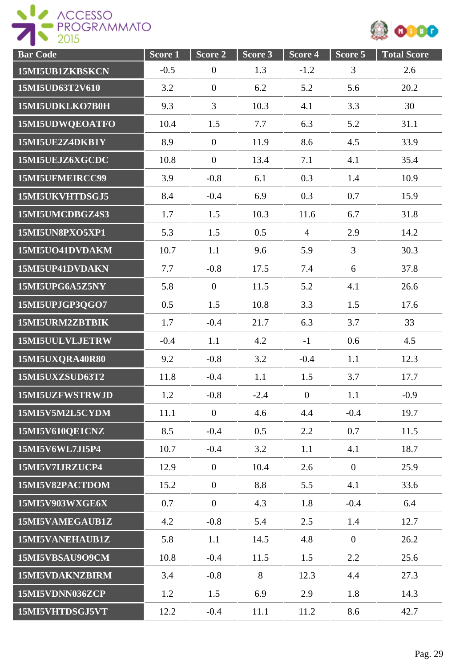

| <b>Bar Code</b> | Score <sub>1</sub> | Score 2          | Score 3 | Score 4        | Score 5        | <b>Total Score</b> |
|-----------------|--------------------|------------------|---------|----------------|----------------|--------------------|
| 15MI5UB1ZKBSKCN | $-0.5$             | $\boldsymbol{0}$ | 1.3     | $-1.2$         | 3              | 2.6                |
| 15MI5UD63T2V610 | 3.2                | $\overline{0}$   | 6.2     | 5.2            | 5.6            | 20.2               |
| 15MI5UDKLKO7B0H | 9.3                | $\overline{3}$   | 10.3    | 4.1            | 3.3            | 30                 |
| 15MI5UDWQEOATFO | 10.4               | 1.5              | 7.7     | 6.3            | 5.2            | 31.1               |
| 15MI5UE2Z4DKB1Y | 8.9                | $\boldsymbol{0}$ | 11.9    | 8.6            | 4.5            | 33.9               |
| 15MI5UEJZ6XGCDC | 10.8               | $\boldsymbol{0}$ | 13.4    | 7.1            | 4.1            | 35.4               |
| 15MI5UFMEIRCC99 | 3.9                | $-0.8$           | 6.1     | 0.3            | 1.4            | 10.9               |
| 15MI5UKVHTDSGJ5 | 8.4                | $-0.4$           | 6.9     | 0.3            | 0.7            | 15.9               |
| 15MI5UMCDBGZ4S3 | 1.7                | 1.5              | 10.3    | 11.6           | 6.7            | 31.8               |
| 15MI5UN8PXO5XP1 | 5.3                | 1.5              | 0.5     | $\overline{4}$ | 2.9            | 14.2               |
| 15MI5UO41DVDAKM | 10.7               | 1.1              | 9.6     | 5.9            | $\overline{3}$ | 30.3               |
| 15MI5UP41DVDAKN | 7.7                | $-0.8$           | 17.5    | 7.4            | 6              | 37.8               |
| 15MI5UPG6A5Z5NY | 5.8                | $\overline{0}$   | 11.5    | 5.2            | 4.1            | 26.6               |
| 15MI5UPJGP3QGO7 | 0.5                | 1.5              | 10.8    | 3.3            | 1.5            | 17.6               |
| 15MI5URM2ZBTBIK | 1.7                | $-0.4$           | 21.7    | 6.3            | 3.7            | 33                 |
| 15MI5UULVLJETRW | $-0.4$             | 1.1              | 4.2     | $-1$           | 0.6            | 4.5                |
| 15MI5UXQRA40R80 | 9.2                | $-0.8$           | 3.2     | $-0.4$         | 1.1            | 12.3               |
| 15MI5UXZSUD63T2 | 11.8               | $-0.4$           | 1.1     | 1.5            | 3.7            | 17.7               |
| 15MI5UZFWSTRWJD | 1.2                | $-0.8$           | $-2.4$  | $\mathbf{0}$   | 1.1            | $-0.9$             |
| 15MI5V5M2L5CYDM | 11.1               | $\overline{0}$   | 4.6     | 4.4            | $-0.4$         | 19.7               |
| 15MI5V610QE1CNZ | 8.5                | $-0.4$           | 0.5     | 2.2            | 0.7            | 11.5               |
| 15MI5V6WL7JI5P4 | 10.7               | $-0.4$           | 3.2     | 1.1            | 4.1            | 18.7               |
| 15MI5V7IJRZUCP4 | 12.9               | $\mathbf{0}$     | 10.4    | 2.6            | $\overline{0}$ | 25.9               |
| 15MI5V82PACTDOM | 15.2               | $\boldsymbol{0}$ | 8.8     | 5.5            | 4.1            | 33.6               |
| 15MI5V903WXGE6X | 0.7                | $\overline{0}$   | 4.3     | 1.8            | $-0.4$         | 6.4                |
| 15MI5VAMEGAUB1Z | 4.2                | $-0.8$           | 5.4     | 2.5            | 1.4            | 12.7               |
| 15MI5VANEHAUB1Z | 5.8                | 1.1              | 14.5    | 4.8            | $\overline{0}$ | 26.2               |
| 15MI5VBSAU9O9CM | 10.8               | $-0.4$           | 11.5    | 1.5            | 2.2            | 25.6               |
| 15MI5VDAKNZBIRM | 3.4                | $-0.8$           | 8       | 12.3           | 4.4            | 27.3               |
| 15MI5VDNN036ZCP | 1.2                | 1.5              | 6.9     | 2.9            | 1.8            | 14.3               |
| 15MI5VHTDSGJ5VT | 12.2               | $-0.4$           | 11.1    | 11.2           | 8.6            | 42.7               |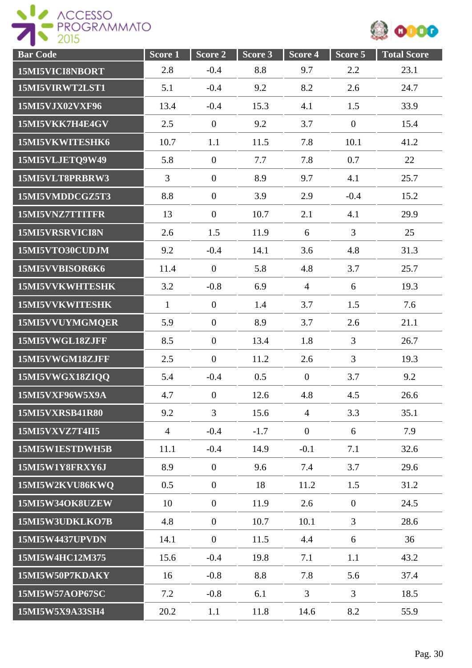

| <b>Bar Code</b>        | Score 1        | Score 2          | Score 3 | Score 4          | Score 5        | <b>Total Score</b> |
|------------------------|----------------|------------------|---------|------------------|----------------|--------------------|
| 15MI5VICI8NBORT        | 2.8            | $-0.4$           | 8.8     | 9.7              | 2.2            | 23.1               |
| 15MI5VIRWT2LST1        | 5.1            | $-0.4$           | 9.2     | 8.2              | 2.6            | 24.7               |
| 15MI5VJX02VXF96        | 13.4           | $-0.4$           | 15.3    | 4.1              | 1.5            | 33.9               |
| 15MI5VKK7H4E4GV        | 2.5            | $\overline{0}$   | 9.2     | 3.7              | $\overline{0}$ | 15.4               |
| 15MI5VKWITESHK6        | 10.7           | 1.1              | 11.5    | 7.8              | 10.1           | 41.2               |
| 15MI5VLJETQ9W49        | 5.8            | $\boldsymbol{0}$ | 7.7     | 7.8              | 0.7            | 22                 |
| 15MI5VLT8PRBRW3        | $\overline{3}$ | $\boldsymbol{0}$ | 8.9     | 9.7              | 4.1            | 25.7               |
| 15MI5VMDDCGZ5T3        | 8.8            | $\mathbf{0}$     | 3.9     | 2.9              | $-0.4$         | 15.2               |
| 15MI5VNZ7TTITFR        | 13             | $\mathbf{0}$     | 10.7    | 2.1              | 4.1            | 29.9               |
| 15MI5VRSRVICI8N        | 2.6            | 1.5              | 11.9    | 6                | $\overline{3}$ | 25                 |
| 15MI5VTO30CUDJM        | 9.2            | $-0.4$           | 14.1    | 3.6              | 4.8            | 31.3               |
| 15MI5VVBISOR6K6        | 11.4           | $\overline{0}$   | 5.8     | 4.8              | 3.7            | 25.7               |
| 15MI5VVKWHTESHK        | 3.2            | $-0.8$           | 6.9     | $\overline{4}$   | 6              | 19.3               |
| 15MI5VVKWITESHK        | $\mathbf{1}$   | $\boldsymbol{0}$ | 1.4     | 3.7              | 1.5            | 7.6                |
| 15MI5VVUYMGMQER        | 5.9            | $\boldsymbol{0}$ | 8.9     | 3.7              | 2.6            | 21.1               |
| 15MI5VWGL18ZJFF        | 8.5            | $\boldsymbol{0}$ | 13.4    | 1.8              | $\overline{3}$ | 26.7               |
| 15MI5VWGM18ZJFF        | 2.5            | $\overline{0}$   | 11.2    | 2.6              | $\overline{3}$ | 19.3               |
| 15MI5VWGX18ZIQQ        | 5.4            | $-0.4$           | 0.5     | $\overline{0}$   | 3.7            | 9.2                |
| 15MI5VXF96W5X9A        | 4.7            | $\boldsymbol{0}$ | 12.6    | 4.8              | 4.5            | 26.6               |
| <b>15MI5VXRSB41R80</b> | 9.2            | $\overline{3}$   | 15.6    | $\overline{4}$   | 3.3            | 35.1               |
| 15MI5VXVZ7T4II5        | $\overline{4}$ | $-0.4$           | $-1.7$  | $\boldsymbol{0}$ | 6              | 7.9                |
| 15MI5W1ESTDWH5B        | 11.1           | $-0.4$           | 14.9    | $-0.1$           | 7.1            | 32.6               |
| 15MI5W1Y8FRXY6J        | 8.9            | $\overline{0}$   | 9.6     | 7.4              | 3.7            | 29.6               |
| 15MI5W2KVU86KWQ        | 0.5            | $\boldsymbol{0}$ | 18      | 11.2             | 1.5            | 31.2               |
| 15MI5W34OK8UZEW        | 10             | $\boldsymbol{0}$ | 11.9    | 2.6              | $\overline{0}$ | 24.5               |
| 15MI5W3UDKLKO7B        | 4.8            | $\boldsymbol{0}$ | 10.7    | 10.1             | $\overline{3}$ | 28.6               |
| 15MI5W4437UPVDN        | 14.1           | $\mathbf{0}$     | 11.5    | 4.4              | 6              | 36                 |
| 15MI5W4HC12M375        | 15.6           | $-0.4$           | 19.8    | 7.1              | 1.1            | 43.2               |
| 15MI5W50P7KDAKY        | 16             | $-0.8$           | 8.8     | 7.8              | 5.6            | 37.4               |
| 15MI5W57AOP67SC        | 7.2            | $-0.8$           | 6.1     | 3                | $\overline{3}$ | 18.5               |
| 15MI5W5X9A33SH4        | 20.2           | 1.1              | 11.8    | 14.6             | 8.2            | 55.9               |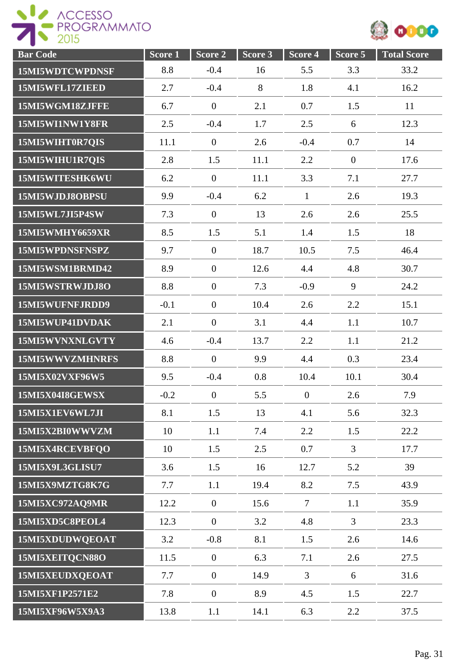



| <b>Bar Code</b>        | Score <sub>1</sub> | Score 2          | Score 3 | Score 4        | Score 5        | <b>Total Score</b> |
|------------------------|--------------------|------------------|---------|----------------|----------------|--------------------|
| 15MI5WDTCWPDNSF        | 8.8                | $-0.4$           | 16      | 5.5            | 3.3            | 33.2               |
| 15MI5WFL17ZIEED        | 2.7                | $-0.4$           | 8       | 1.8            | 4.1            | 16.2               |
| 15MI5WGM18ZJFFE        | 6.7                | $\mathbf{0}$     | 2.1     | 0.7            | 1.5            | 11                 |
| 15MI5WI1NW1Y8FR        | 2.5                | $-0.4$           | 1.7     | 2.5            | 6              | 12.3               |
| 15MI5WIHT0R7QIS        | 11.1               | $\overline{0}$   | 2.6     | $-0.4$         | 0.7            | 14                 |
| 15MI5WIHU1R7QIS        | 2.8                | 1.5              | 11.1    | 2.2            | $\overline{0}$ | 17.6               |
| 15MI5WITESHK6WU        | 6.2                | $\overline{0}$   | 11.1    | 3.3            | 7.1            | 27.7               |
| 15MI5WJDJ8OBPSU        | 9.9                | $-0.4$           | 6.2     | $\mathbf{1}$   | 2.6            | 19.3               |
| 15MI5WL7JI5P4SW        | 7.3                | $\mathbf{0}$     | 13      | 2.6            | 2.6            | 25.5               |
| 15MI5WMHY6659XR        | 8.5                | 1.5              | 5.1     | 1.4            | 1.5            | 18                 |
| 15MI5WPDNSFNSPZ        | 9.7                | $\mathbf{0}$     | 18.7    | 10.5           | 7.5            | 46.4               |
| 15MI5WSM1BRMD42        | 8.9                | $\overline{0}$   | 12.6    | 4.4            | 4.8            | 30.7               |
| 15MI5WSTRWJDJ8O        | 8.8                | $\overline{0}$   | 7.3     | $-0.9$         | 9              | 24.2               |
| 15MI5WUFNFJRDD9        | $-0.1$             | $\boldsymbol{0}$ | 10.4    | 2.6            | 2.2            | 15.1               |
| 15MI5WUP41DVDAK        | 2.1                | $\boldsymbol{0}$ | 3.1     | 4.4            | 1.1            | 10.7               |
| 15MI5WVNXNLGVTY        | 4.6                | $-0.4$           | 13.7    | 2.2            | 1.1            | 21.2               |
| 15MI5WWVZMHNRFS        | 8.8                | $\boldsymbol{0}$ | 9.9     | 4.4            | 0.3            | 23.4               |
| 15MI5X02VXF96W5        | 9.5                | $-0.4$           | 0.8     | 10.4           | 10.1           | 30.4               |
| <b>15MI5X04I8GEWSX</b> | $-0.2$             | $\boldsymbol{0}$ | 5.5     | $\overline{0}$ | 2.6            | 7.9                |
| 15MI5X1EV6WL7JI        | 8.1                | 1.5              | 13      | 4.1            | 5.6            | 32.3               |
| 15MI5X2BI0WWVZM        | 10                 | 1.1              | 7.4     | 2.2            | 1.5            | 22.2               |
| 15MI5X4RCEVBFQO        | 10                 | 1.5              | 2.5     | 0.7            | $\overline{3}$ | 17.7               |
| 15MI5X9L3GLISU7        | 3.6                | 1.5              | 16      | 12.7           | 5.2            | 39                 |
| 15MI5X9MZTG8K7G        | 7.7                | 1.1              | 19.4    | 8.2            | 7.5            | 43.9               |
| 15MI5XC972AQ9MR        | 12.2               | $\overline{0}$   | 15.6    | $\overline{7}$ | 1.1            | 35.9               |
| 15MI5XD5C8PEOL4        | 12.3               | $\overline{0}$   | 3.2     | 4.8            | $\overline{3}$ | 23.3               |
| 15MI5XDUDWQEOAT        | 3.2                | $-0.8$           | 8.1     | 1.5            | 2.6            | 14.6               |
| 15MI5XEITQCN88O        | 11.5               | $\overline{0}$   | 6.3     | 7.1            | 2.6            | 27.5               |
| 15MI5XEUDXQEOAT        | 7.7                | $\boldsymbol{0}$ | 14.9    | 3              | 6              | 31.6               |
| 15MI5XF1P2571E2        | 7.8                | $\overline{0}$   | 8.9     | 4.5            | 1.5            | 22.7               |
| 15MI5XF96W5X9A3        | 13.8               | 1.1              | 14.1    | 6.3            | 2.2            | 37.5               |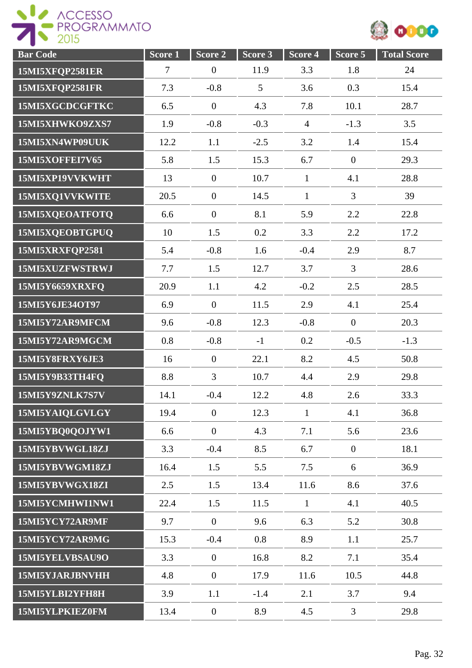



| <b>Bar Code</b> | Score <sub>1</sub> | Score 2          | Score 3 | Score 4        | Score 5          | <b>Total Score</b> |
|-----------------|--------------------|------------------|---------|----------------|------------------|--------------------|
| 15MI5XFQP2581ER | $\tau$             | $\overline{0}$   | 11.9    | 3.3            | 1.8              | 24                 |
| 15MI5XFQP2581FR | 7.3                | $-0.8$           | 5       | 3.6            | 0.3              | 15.4               |
| 15MI5XGCDCGFTKC | 6.5                | $\mathbf{0}$     | 4.3     | 7.8            | 10.1             | 28.7               |
| 15MI5XHWKO9ZXS7 | 1.9                | $-0.8$           | $-0.3$  | $\overline{4}$ | $-1.3$           | 3.5                |
| 15MI5XN4WP09UUK | 12.2               | 1.1              | $-2.5$  | 3.2            | 1.4              | 15.4               |
| 15MI5XOFFEI7V65 | 5.8                | 1.5              | 15.3    | 6.7            | $\boldsymbol{0}$ | 29.3               |
| 15MI5XP19VVKWHT | 13                 | $\overline{0}$   | 10.7    | $\mathbf{1}$   | 4.1              | 28.8               |
| 15MI5XQ1VVKWITE | 20.5               | $\theta$         | 14.5    | $\mathbf{1}$   | $\overline{3}$   | 39                 |
| 15MI5XQEOATFOTQ | 6.6                | $\mathbf{0}$     | 8.1     | 5.9            | 2.2              | 22.8               |
| 15MI5XQEOBTGPUQ | 10                 | 1.5              | 0.2     | 3.3            | 2.2              | 17.2               |
| 15MI5XRXFQP2581 | 5.4                | $-0.8$           | 1.6     | $-0.4$         | 2.9              | 8.7                |
| 15MI5XUZFWSTRWJ | 7.7                | 1.5              | 12.7    | 3.7            | $\overline{3}$   | 28.6               |
| 15MI5Y6659XRXFQ | 20.9               | 1.1              | 4.2     | $-0.2$         | 2.5              | 28.5               |
| 15MI5Y6JE34OT97 | 6.9                | $\mathbf{0}$     | 11.5    | 2.9            | 4.1              | 25.4               |
| 15MI5Y72AR9MFCM | 9.6                | $-0.8$           | 12.3    | $-0.8$         | $\overline{0}$   | 20.3               |
| 15MI5Y72AR9MGCM | 0.8                | $-0.8$           | $-1$    | 0.2            | $-0.5$           | $-1.3$             |
| 15MI5Y8FRXY6JE3 | 16                 | $\overline{0}$   | 22.1    | 8.2            | 4.5              | 50.8               |
| 15MI5Y9B33TH4FQ | 8.8                | 3                | 10.7    | 4.4            | 2.9              | 29.8               |
| 15MI5Y9ZNLK7S7V | 14.1               | $-0.4$           | 12.2    | 4.8            | 2.6              | 33.3               |
| 15MI5YAIQLGVLGY | 19.4               | $\mathbf{0}$     | 12.3    | $\mathbf{1}$   | 4.1              | 36.8               |
| 15MI5YBQ0QOJYW1 | 6.6                | $\mathbf{0}$     | 4.3     | 7.1            | 5.6              | 23.6               |
| 15MI5YBVWGL18ZJ | 3.3                | $-0.4$           | 8.5     | 6.7            | $\overline{0}$   | 18.1               |
| 15MI5YBVWGM18ZJ | 16.4               | 1.5              | 5.5     | 7.5            | 6                | 36.9               |
| 15MI5YBVWGX18ZI | 2.5                | 1.5              | 13.4    | 11.6           | 8.6              | 37.6               |
| 15MI5YCMHWI1NW1 | 22.4               | 1.5              | 11.5    | $\mathbf{1}$   | 4.1              | 40.5               |
| 15MI5YCY72AR9MF | 9.7                | $\mathbf{0}$     | 9.6     | 6.3            | 5.2              | 30.8               |
| 15MI5YCY72AR9MG | 15.3               | $-0.4$           | 0.8     | 8.9            | 1.1              | 25.7               |
| 15MI5YELVBSAU9O | 3.3                | $\mathbf{0}$     | 16.8    | 8.2            | 7.1              | 35.4               |
| 15MI5YJARJBNVHH | 4.8                | $\overline{0}$   | 17.9    | 11.6           | 10.5             | 44.8               |
| 15MI5YLBI2YFH8H | 3.9                | 1.1              | $-1.4$  | 2.1            | 3.7              | 9.4                |
| 15MI5YLPKIEZ0FM | 13.4               | $\boldsymbol{0}$ | 8.9     | 4.5            | $\overline{3}$   | 29.8               |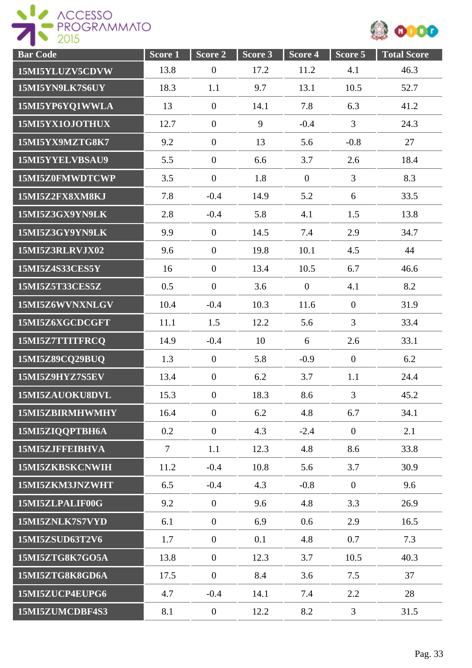

| <b>Bar Code</b> | Score 1        | Score 2          | Score 3 | Score 4        | Score 5          | <b>Total Score</b> |
|-----------------|----------------|------------------|---------|----------------|------------------|--------------------|
| 15MI5YLUZV5CDVW | 13.8           | $\boldsymbol{0}$ | 17.2    | 11.2           | 4.1              | 46.3               |
| 15MI5YN9LK7S6UY | 18.3           | 1.1              | 9.7     | 13.1           | 10.5             | 52.7               |
| 15MI5YP6YQ1WWLA | 13             | $\boldsymbol{0}$ | 14.1    | 7.8            | 6.3              | 41.2               |
| 15MI5YX1OJOTHUX | 12.7           | $\boldsymbol{0}$ | 9       | $-0.4$         | $\overline{3}$   | 24.3               |
| 15MI5YX9MZTG8K7 | 9.2            | $\boldsymbol{0}$ | 13      | 5.6            | $-0.8$           | 27                 |
| 15MI5YYELVBSAU9 | 5.5            | $\boldsymbol{0}$ | 6.6     | 3.7            | 2.6              | 18.4               |
| 15MI5Z0FMWDTCWP | 3.5            | $\overline{0}$   | 1.8     | $\overline{0}$ | $\overline{3}$   | 8.3                |
| 15MI5Z2FX8XM8KJ | 7.8            | $-0.4$           | 14.9    | 5.2            | 6                | 33.5               |
| 15MI5Z3GX9YN9LK | 2.8            | $-0.4$           | 5.8     | 4.1            | 1.5              | 13.8               |
| 15MI5Z3GY9YN9LK | 9.9            | $\boldsymbol{0}$ | 14.5    | 7.4            | 2.9              | 34.7               |
| 15MI5Z3RLRVJX02 | 9.6            | $\boldsymbol{0}$ | 19.8    | 10.1           | 4.5              | 44                 |
| 15MI5Z4S33CES5Y | 16             | $\boldsymbol{0}$ | 13.4    | 10.5           | 6.7              | 46.6               |
| 15MI5Z5T33CES5Z | 0.5            | $\mathbf{0}$     | 3.6     | $\mathbf{0}$   | 4.1              | 8.2                |
| 15MI5Z6WVNXNLGV | 10.4           | $-0.4$           | 10.3    | 11.6           | $\overline{0}$   | 31.9               |
| 15MI5Z6XGCDCGFT | 11.1           | 1.5              | 12.2    | 5.6            | $\overline{3}$   | 33.4               |
| 15MI5Z7TTITFRCQ | 14.9           | $-0.4$           | 10      | 6              | 2.6              | 33.1               |
| 15MI5Z89CQ29BUQ | 1.3            | $\boldsymbol{0}$ | 5.8     | $-0.9$         | $\boldsymbol{0}$ | 6.2                |
| 15MI5Z9HYZ7S5EV | 13.4           | $\theta$         | 6.2     | 3.7            | 1.1              | 24.4               |
| 15MI5ZAUOKU8DVL | 15.3           | $\boldsymbol{0}$ | 18.3    | 8.6            | $\overline{3}$   | 45.2               |
| 15MI5ZBIRMHWMHY | 16.4           | $\overline{0}$   | 6.2     | 4.8            | 6.7              | 34.1               |
| 15MI5ZIQQPTBH6A | 0.2            | $\overline{0}$   | 4.3     | $-2.4$         | $\overline{0}$   | 2.1                |
| 15MI5ZJFFEIBHVA | $\overline{7}$ | 1.1              | 12.3    | 4.8            | 8.6              | 33.8               |
| 15MI5ZKBSKCNWIH | 11.2           | $-0.4$           | 10.8    | 5.6            | 3.7              | 30.9               |
| 15MI5ZKM3JNZWHT | 6.5            | $-0.4$           | 4.3     | $-0.8$         | $\overline{0}$   | 9.6                |
| 15MI5ZLPALIF00G | 9.2            | $\mathbf{0}$     | 9.6     | 4.8            | 3.3              | 26.9               |
| 15MI5ZNLK7S7VYD | 6.1            | $\boldsymbol{0}$ | 6.9     | 0.6            | 2.9              | 16.5               |
| 15MI5ZSUD63T2V6 | 1.7            | $\mathbf{0}$     | 0.1     | 4.8            | 0.7              | 7.3                |
| 15MI5ZTG8K7GO5A | 13.8           | $\boldsymbol{0}$ | 12.3    | 3.7            | 10.5             | 40.3               |
| 15MI5ZTG8K8GD6A | 17.5           | $\overline{0}$   | 8.4     | 3.6            | 7.5              | 37                 |
| 15MI5ZUCP4EUPG6 | 4.7            | $-0.4$           | 14.1    | 7.4            | 2.2              | 28                 |
| 15MI5ZUMCDBF4S3 | 8.1            | $\boldsymbol{0}$ | 12.2    | 8.2            | $\overline{3}$   | 31.5               |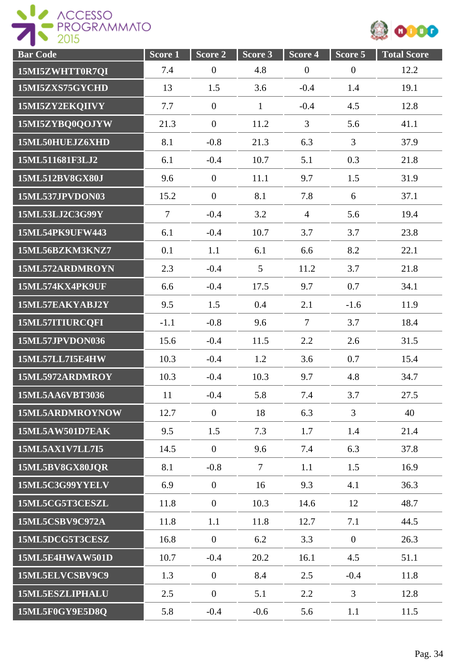



| <b>Bar Code</b>        | Score <sub>1</sub> | Score 2          | Score 3      | Score 4          | Score 5          | <b>Total Score</b> |
|------------------------|--------------------|------------------|--------------|------------------|------------------|--------------------|
| 15MI5ZWHTT0R7QI        | 7.4                | $\boldsymbol{0}$ | 4.8          | $\boldsymbol{0}$ | $\boldsymbol{0}$ | 12.2               |
| 15MI5ZXS75GYCHD        | 13                 | 1.5              | 3.6          | $-0.4$           | 1.4              | 19.1               |
| 15MI5ZY2EKQIIVY        | 7.7                | $\overline{0}$   | $\mathbf{1}$ | $-0.4$           | 4.5              | 12.8               |
| 15MI5ZYBQ0QOJYW        | 21.3               | $\overline{0}$   | 11.2         | $\overline{3}$   | 5.6              | 41.1               |
| 15ML50HUEJZ6XHD        | 8.1                | $-0.8$           | 21.3         | 6.3              | $\overline{3}$   | 37.9               |
| 15ML511681F3LJ2        | 6.1                | $-0.4$           | 10.7         | 5.1              | 0.3              | 21.8               |
| 15ML512BV8GX80J        | 9.6                | $\boldsymbol{0}$ | 11.1         | 9.7              | 1.5              | 31.9               |
| 15ML537JPVDON03        | 15.2               | $\mathbf{0}$     | 8.1          | 7.8              | 6                | 37.1               |
| 15ML53LJ2C3G99Y        | $\overline{7}$     | $-0.4$           | 3.2          | $\overline{4}$   | 5.6              | 19.4               |
| 15ML54PK9UFW443        | 6.1                | $-0.4$           | 10.7         | 3.7              | 3.7              | 23.8               |
| 15ML56BZKM3KNZ7        | 0.1                | 1.1              | 6.1          | 6.6              | 8.2              | 22.1               |
| 15ML572ARDMROYN        | 2.3                | $-0.4$           | 5            | 11.2             | 3.7              | 21.8               |
| 15ML574KX4PK9UF        | 6.6                | $-0.4$           | 17.5         | 9.7              | 0.7              | 34.1               |
| 15ML57EAKYABJ2Y        | 9.5                | 1.5              | 0.4          | 2.1              | $-1.6$           | 11.9               |
| 15ML57ITIURCQFI        | $-1.1$             | $-0.8$           | 9.6          | $\overline{7}$   | 3.7              | 18.4               |
| 15ML57JPVDON036        | 15.6               | $-0.4$           | 11.5         | 2.2              | 2.6              | 31.5               |
| <b>15ML57LL7I5E4HW</b> | 10.3               | $-0.4$           | 1.2          | 3.6              | 0.7              | 15.4               |
| 15ML5972ARDMROY        | 10.3               | $-0.4$           | 10.3         | 9.7              | 4.8              | 34.7               |
| 15ML5AA6VBT3036        | 11                 | $-0.4$           | 5.8          | 7.4              | 3.7              | 27.5               |
| 15ML5ARDMROYNOW        | 12.7               | $\overline{0}$   | 18           | 6.3              | $\overline{3}$   | 40                 |
| 15ML5AW501D7EAK        | 9.5                | 1.5              | 7.3          | 1.7              | 1.4              | 21.4               |
| 15ML5AX1V7LL7I5        | 14.5               | $\theta$         | 9.6          | 7.4              | 6.3              | 37.8               |
| 15ML5BV8GX80JOR        | 8.1                | $-0.8$           | $\tau$       | 1.1              | 1.5              | 16.9               |
| 15ML5C3G99YYELV        | 6.9                | $\overline{0}$   | 16           | 9.3              | 4.1              | 36.3               |
| 15ML5CG5T3CESZL        | 11.8               | $\overline{0}$   | 10.3         | 14.6             | 12               | 48.7               |
| 15ML5CSBV9C972A        | 11.8               | 1.1              | 11.8         | 12.7             | 7.1              | 44.5               |
| 15ML5DCG5T3CESZ        | 16.8               | $\overline{0}$   | 6.2          | 3.3              | $\overline{0}$   | 26.3               |
| 15ML5E4HWAW501D        | 10.7               | $-0.4$           | 20.2         | 16.1             | 4.5              | 51.1               |
| 15ML5ELVCSBV9C9        | 1.3                | $\overline{0}$   | 8.4          | 2.5              | $-0.4$           | 11.8               |
| 15ML5ESZLIPHALU        | 2.5                | $\boldsymbol{0}$ | 5.1          | 2.2              | $\mathfrak{Z}$   | 12.8               |
| 15ML5F0GY9E5D8Q        | 5.8                | $-0.4$           | $-0.6$       | 5.6              | 1.1              | 11.5               |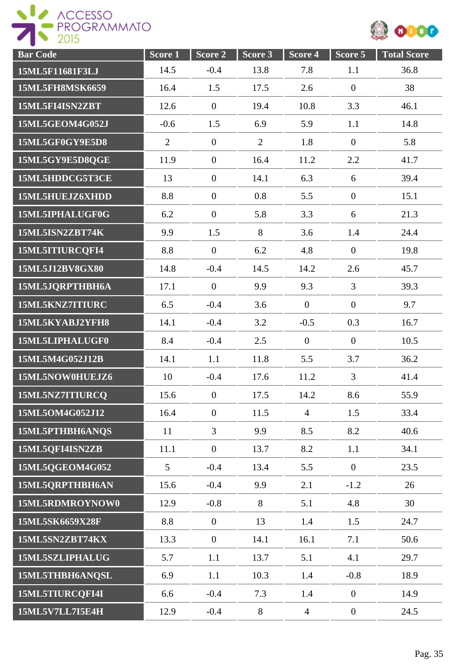

| <b>Bar</b> Code        | Score <sub>1</sub> | Score 2          | Score 3        | Score 4        | Score 5          | <b>Total Score</b> |
|------------------------|--------------------|------------------|----------------|----------------|------------------|--------------------|
| 15ML5F11681F3LJ        | 14.5               | $-0.4$           | 13.8           | 7.8            | 1.1              | 36.8               |
| <b>15ML5FH8MSK6659</b> | 16.4               | 1.5              | 17.5           | 2.6            | $\boldsymbol{0}$ | 38                 |
| 15ML5FI4ISN2ZBT        | 12.6               | $\overline{0}$   | 19.4           | 10.8           | 3.3              | 46.1               |
| 15ML5GEOM4G052J        | $-0.6$             | 1.5              | 6.9            | 5.9            | 1.1              | 14.8               |
| 15ML5GF0GY9E5D8        | $\overline{2}$     | $\overline{0}$   | $\overline{2}$ | 1.8            | $\overline{0}$   | 5.8                |
| 15ML5GY9E5D8QGE        | 11.9               | $\overline{0}$   | 16.4           | 11.2           | 2.2              | 41.7               |
| 15ML5HDDCG5T3CE        | 13                 | $\boldsymbol{0}$ | 14.1           | 6.3            | 6                | 39.4               |
| 15ML5HUEJZ6XHDD        | 8.8                | $\mathbf{0}$     | 0.8            | 5.5            | $\overline{0}$   | 15.1               |
| 15ML5IPHALUGF0G        | 6.2                | $\overline{0}$   | 5.8            | 3.3            | 6                | 21.3               |
| 15ML5ISN2ZBT74K        | 9.9                | 1.5              | 8              | 3.6            | 1.4              | 24.4               |
| 15ML5ITIURCQFI4        | 8.8                | $\mathbf{0}$     | 6.2            | 4.8            | $\boldsymbol{0}$ | 19.8               |
| 15ML5J12BV8GX80        | 14.8               | $-0.4$           | 14.5           | 14.2           | 2.6              | 45.7               |
| 15ML5JQRPTHBH6A        | 17.1               | $\overline{0}$   | 9.9            | 9.3            | $\overline{3}$   | 39.3               |
| 15ML5KNZ7ITIURC        | 6.5                | $-0.4$           | 3.6            | $\mathbf{0}$   | $\boldsymbol{0}$ | 9.7                |
| 15ML5KYABJ2YFH8        | 14.1               | $-0.4$           | 3.2            | $-0.5$         | 0.3              | 16.7               |
| 15ML5LIPHALUGF0        | 8.4                | $-0.4$           | 2.5            | $\overline{0}$ | $\boldsymbol{0}$ | 10.5               |
| 15ML5M4G052J12B        | 14.1               | 1.1              | 11.8           | 5.5            | 3.7              | 36.2               |
| 15ML5NOW0HUEJZ6        | 10                 | $-0.4$           | 17.6           | 11.2           | $\overline{3}$   | 41.4               |
| 15ML5NZ7ITIURCQ        | 15.6               | $\boldsymbol{0}$ | 17.5           | 14.2           | 8.6              | 55.9               |
| 15ML5OM4G052J12        | 16.4               | $\overline{0}$   | 11.5           | $\overline{4}$ | 1.5              | 33.4               |
| 15ML5PTHBH6ANQS        | 11                 | $\overline{3}$   | 9.9            | 8.5            | 8.2              | 40.6               |
| 15ML5QFI4ISN2ZB        | 11.1               | $\overline{0}$   | 13.7           | 8.2            | 1.1              | 34.1               |
| 15ML5QGEOM4G052        | $5\overline{)}$    | $-0.4$           | 13.4           | 5.5            | $\overline{0}$   | 23.5               |
| 15ML5QRPTHBH6AN        | 15.6               | $-0.4$           | 9.9            | 2.1            | $-1.2$           | 26                 |
| 15ML5RDMROYNOW0        | 12.9               | $-0.8$           | 8              | 5.1            | 4.8              | 30                 |
| 15ML5SK6659X28F        | 8.8                | $\overline{0}$   | 13             | 1.4            | 1.5              | 24.7               |
| 15ML5SN2ZBT74KX        | 13.3               | $\boldsymbol{0}$ | 14.1           | 16.1           | 7.1              | 50.6               |
| 15ML5SZLIPHALUG        | 5.7                | 1.1              | 13.7           | 5.1            | 4.1              | 29.7               |
| 15ML5THBH6ANQSL        | 6.9                | 1.1              | 10.3           | 1.4            | $-0.8$           | 18.9               |
| 15ML5TIURCQFI4I        | 6.6                | $-0.4$           | 7.3            | 1.4            | $\boldsymbol{0}$ | 14.9               |
| 15ML5V7LL7I5E4H        | 12.9               | $-0.4$           | $8\,$          | $\overline{4}$ | $\boldsymbol{0}$ | 24.5               |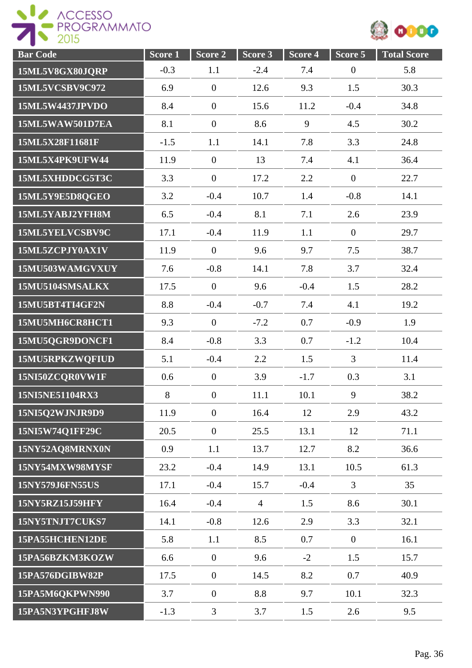



| <b>Bar Code</b> | Score <sub>1</sub> | Score <sub>2</sub> | Score <sub>3</sub> | Score 4 | Score 5          | <b>Total Score</b> |
|-----------------|--------------------|--------------------|--------------------|---------|------------------|--------------------|
| 15ML5V8GX80JQRP | $-0.3$             | 1.1                | $-2.4$             | 7.4     | $\boldsymbol{0}$ | 5.8                |
| 15ML5VCSBV9C972 | 6.9                | $\overline{0}$     | 12.6               | 9.3     | 1.5              | 30.3               |
| 15ML5W4437JPVDO | 8.4                | $\boldsymbol{0}$   | 15.6               | 11.2    | $-0.4$           | 34.8               |
| 15ML5WAW501D7EA | 8.1                | $\overline{0}$     | 8.6                | 9       | 4.5              | 30.2               |
| 15ML5X28F11681F | $-1.5$             | 1.1                | 14.1               | 7.8     | 3.3              | 24.8               |
| 15ML5X4PK9UFW44 | 11.9               | $\boldsymbol{0}$   | 13                 | 7.4     | 4.1              | 36.4               |
| 15ML5XHDDCG5T3C | 3.3                | $\overline{0}$     | 17.2               | 2.2     | $\overline{0}$   | 22.7               |
| 15ML5Y9E5D8QGEO | 3.2                | $-0.4$             | 10.7               | 1.4     | $-0.8$           | 14.1               |
| 15ML5YABJ2YFH8M | 6.5                | $-0.4$             | 8.1                | 7.1     | 2.6              | 23.9               |
| 15ML5YELVCSBV9C | 17.1               | $-0.4$             | 11.9               | 1.1     | $\overline{0}$   | 29.7               |
| 15ML5ZCPJY0AX1V | 11.9               | $\overline{0}$     | 9.6                | 9.7     | 7.5              | 38.7               |
| 15MU503WAMGVXUY | 7.6                | $-0.8$             | 14.1               | 7.8     | 3.7              | 32.4               |
| 15MU5104SMSALKX | 17.5               | $\overline{0}$     | 9.6                | $-0.4$  | 1.5              | 28.2               |
| 15MU5BT4TI4GF2N | 8.8                | $-0.4$             | $-0.7$             | 7.4     | 4.1              | 19.2               |
| 15MU5MH6CR8HCT1 | 9.3                | $\overline{0}$     | $-7.2$             | 0.7     | $-0.9$           | 1.9                |
| 15MU5QGR9DONCF1 | 8.4                | $-0.8$             | 3.3                | 0.7     | $-1.2$           | 10.4               |
| 15MU5RPKZWOFIUD | 5.1                | $-0.4$             | 2.2                | 1.5     | $\overline{3}$   | 11.4               |
| 15NI50ZCQR0VW1F | 0.6                | $\overline{0}$     | 3.9                | $-1.7$  | 0.3              | 3.1                |
| 15NI5NE51104RX3 | 8                  | $\boldsymbol{0}$   | 11.1               | 10.1    | 9                | 38.2               |
| 15NI5Q2WJNJR9D9 | 11.9               | $\boldsymbol{0}$   | 16.4               | 12      | 2.9              | 43.2               |
| 15NI5W74Q1FF29C | 20.5               | $\overline{0}$     | 25.5               | 13.1    | 12               | 71.1               |
| 15NY52AQ8MRNX0N | 0.9                | 1.1                | 13.7               | 12.7    | 8.2              | 36.6               |
| 15NY54MXW98MYSF | 23.2               | $-0.4$             | 14.9               | 13.1    | 10.5             | 61.3               |
| 15NY579J6FN55US | 17.1               | $-0.4$             | 15.7               | $-0.4$  | 3                | 35                 |
| 15NY5RZ15J59HFY | 16.4               | $-0.4$             | $\overline{4}$     | 1.5     | 8.6              | 30.1               |
| 15NY5TNJT7CUKS7 | 14.1               | $-0.8$             | 12.6               | 2.9     | 3.3              | 32.1               |
| 15PA55HCHEN12DE | 5.8                | 1.1                | 8.5                | 0.7     | $\boldsymbol{0}$ | 16.1               |
| 15PA56BZKM3KOZW | 6.6                | $\overline{0}$     | 9.6                | $-2$    | 1.5              | 15.7               |
| 15PA576DGIBW82P | 17.5               | $\overline{0}$     | 14.5               | 8.2     | 0.7              | 40.9               |
| 15PA5M6QKPWN990 | 3.7                | $\boldsymbol{0}$   | 8.8                | 9.7     | 10.1             | 32.3               |
| 15PA5N3YPGHFJ8W | $-1.3$             | 3                  | 3.7                | 1.5     | 2.6              | 9.5                |